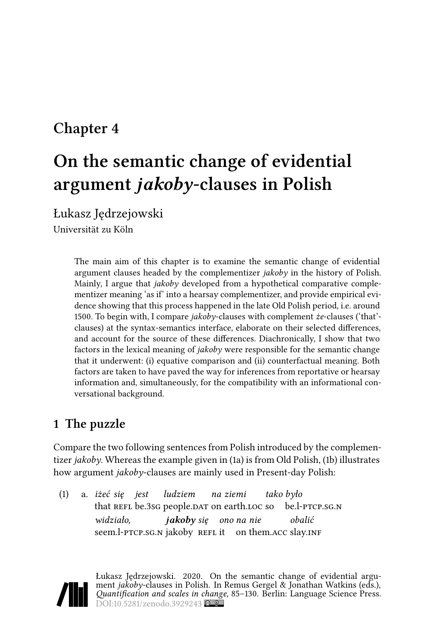# **Chapter 4**

# **On the semantic change of evidential argument** *jakoby***-clauses in Polish**

Łukasz Jędrzejowski

Universität zu Köln

The main aim of this chapter is to examine the semantic change of evidential argument clauses headed by the complementizer *jakoby* in the history of Polish. Mainly, I argue that *jakoby* developed from a hypothetical comparative complementizer meaning 'as if' into a hearsay complementizer, and provide empirical evidence showing that this process happened in the late Old Polish period, i.e. around 1500. To begin with, I compare *jakoby*-clauses with complement *że*-clauses ('that' clauses) at the syntax-semantics interface, elaborate on their selected differences, and account for the source of these differences. Diachronically, I show that two factors in the lexical meaning of *jakoby* were responsible for the semantic change that it underwent: (i) equative comparison and (ii) counterfactual meaning. Both factors are taken to have paved the way for inferences from reportative or hearsay information and, simultaneously, for the compatibility with an informational conversational background.

# <span id="page-0-1"></span>**1 The puzzle**

Compare the two following sentences from Polish introduced by the complementizer *jakoby*. Whereas the example given in([1a](#page-0-0)) is from Old Polish,([1b](#page-1-0)) illustrates how argument *jakoby*-clauses are mainly used in Present-day Polish:

<span id="page-0-0"></span>(1) a. *iżeć się jest* that REFL be.3sG people.DAT on earth.LOC so *ludziem na ziemi tako było* be.l-ptcp.sg.n *widziało,* seem.l-PTCP.SG.N jakoby REFL it on them.ACC slay.INF *jakoby się ono na nie obalić*

Łukasz Jędrzejowski. 2020. On the semantic change of evidential argument *jakoby*-clauses in Polish. In Remus Gergel & Jonathan Watkins (eds.), *Quantification and scales in change*, 85–130. Berlin: Language Science Press. DOI[:10.5281/zenodo.3929243](https://doi.org/10.5281/zenodo.3929243)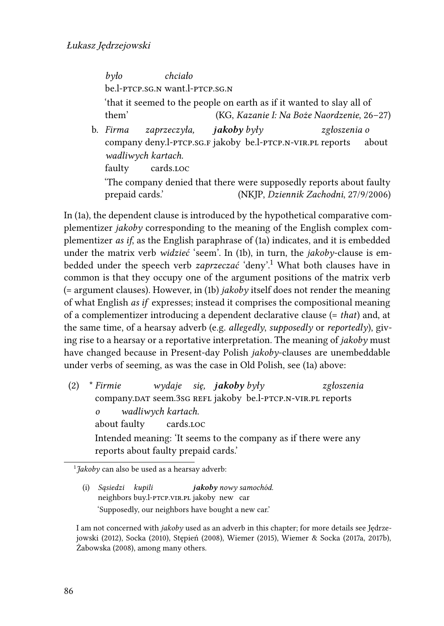*było* be.l-ptcp.sg.n want.l-ptcp.sg.n *chciało* 'that it seemed to the people on earth as if it wanted to slay all of them' (KG, *Kazanie I: Na Boże Naordzenie*, 26–27)

<span id="page-1-0"></span>b. *Firma* company deny.l-ptcp.sg.f jakoby be.l-ptcp.n-vir.pl reports *zaprzeczyła, jakoby były zgłoszenia o* about *wadliwych kartach.* faulty cards.loc 'The company denied that there were supposedly reports about faulty prepaid cards.' (NKJP, *Dziennik Zachodni*, 27/9/2006)

In [\(1a](#page-0-0)), the dependent clause is introduced by the hypothetical comparative complementizer *jakoby* corresponding to the meaning of the English complex complementizer *as if*, as the English paraphrase of [\(1a](#page-0-0)) indicates, and it is embedded under the matrix verb *widzieć* 'seem'. In([1b\)](#page-1-0), in turn, the *jakoby*-clause is embedded under the speech verb *zaprzeczać* 'deny'.[1](#page-1-1) What both clauses have in common is that they occupy one of the argument positions of the matrix verb (= argument clauses). However, in [\(1b\)](#page-1-0) *jakoby* itself does not render the meaning of what English *as if* expresses; instead it comprises the compositional meaning of a complementizer introducing a dependent declarative clause (= *that*) and, at the same time, of a hearsay adverb (e.g. *allegedly*, *supposedly* or *reportedly*), giving rise to a hearsay or a reportative interpretation. The meaning of *jakoby* must have changed because in Present-day Polish *jakoby*-clauses are unembeddable under verbs of seeming, as was the case in Old Polish, see [\(1a](#page-0-0)) above:

<span id="page-1-2"></span>(2) \* *Firmie* company.dar seem.3sG REFL jakoby be.l-PTCP.N-VIR.PL reports *wydaje się, jakoby były zgłoszenia o* about faulty *wadliwych kartach.* cards.loc Intended meaning: 'It seems to the company as if there were any reports about faulty prepaid cards.'

<span id="page-1-1"></span>1 *Jakoby* can also be used as a hearsay adverb:

<span id="page-1-3"></span>(i) *Sąsiedzi kupili* neighbors buy.l-ptcp.vir.pl jakoby new car *jakoby nowy samochód.* 'Supposedly, our neighbors have bought a new car.'

I am not concerned with *jakoby* used as an adverb in this chapter; for more details see [Jędrze](#page-42-0)[jowski \(2012\),](#page-42-0) [Socka \(2010\)](#page-43-0), [Stępień \(2008\)](#page-44-0), [Wiemer \(2015\),](#page-45-0) [Wiemer & Socka](#page-45-1) [\(2017a,](#page-45-1) [2017b](#page-45-2)), [Żabowska \(2008\)](#page-45-3), among many others.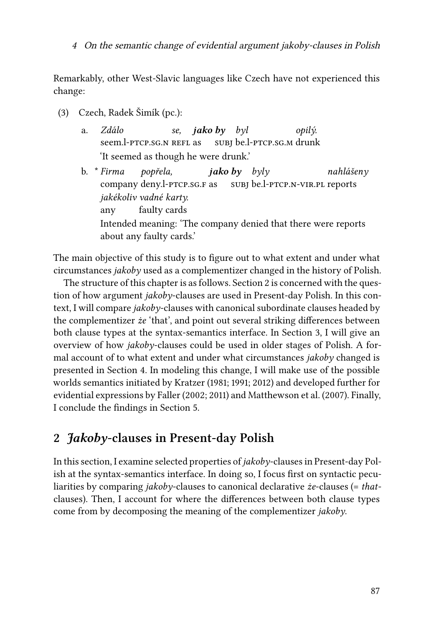Remarkably, other West-Slavic languages like Czech have not experienced this change:

- <span id="page-2-1"></span>(3) Czech, Radek Šimík (pc.):
	- a. *Zdálo* seem.l-PTCP.SG.N REFL as *se, jako by byl* subj be.l-ptcp.sg.m drunk *opilý.* 'It seemed as though he were drunk.'
	- b. \* *Firma* company deny.l-ptcp.sg.f as *popřela, jako by byly* subj be.l-ptcp.n-vir.pl reports *nahlášeny jakékoliv vadné karty.* any faulty cards Intended meaning: 'The company denied that there were reports about any faulty cards.'

The main objective of this study is to figure out to what extent and under what circumstances *jakoby* used as a complementizer changed in the history of Polish.

The structure of this chapter is as follows. Section [2](#page-2-0) is concerned with the question of how argument *jakoby*-clauses are used in Present-day Polish. In this context, I will compare *jakoby*-clauses with canonical subordinate clauses headed by the complementizer *że* 'that', and point out several striking differences between both clause types at the syntax-semantics interface. In Section [3](#page-22-0), I will give an overview of how *jakoby*-clauses could be used in older stages of Polish. A formal account of to what extent and under what circumstances *jakoby* changed is presented in Section [4](#page-33-0). In modeling this change, I will make use of the possible worlds semantics initiated by [Kratzer](#page-42-1) [\(1981](#page-42-1); [1991](#page-42-2); [2012](#page-42-3)) and developed further for evidential expressions by [Faller](#page-41-0) [\(2002](#page-41-0); [2011](#page-41-1)) and [Matthewson et al. \(2007\).](#page-42-4) Finally, I conclude the findings in Section [5](#page-37-0).

# <span id="page-2-0"></span>**2** *Jakoby***-clauses in Present-day Polish**

In this section, I examine selected properties of *jakoby*-clauses in Present-day Polish at the syntax-semantics interface. In doing so, I focus first on syntactic peculiarities by comparing *jakoby*-clauses to canonical declarative *że*-clauses (= *that*clauses). Then, I account for where the differences between both clause types come from by decomposing the meaning of the complementizer *jakoby*.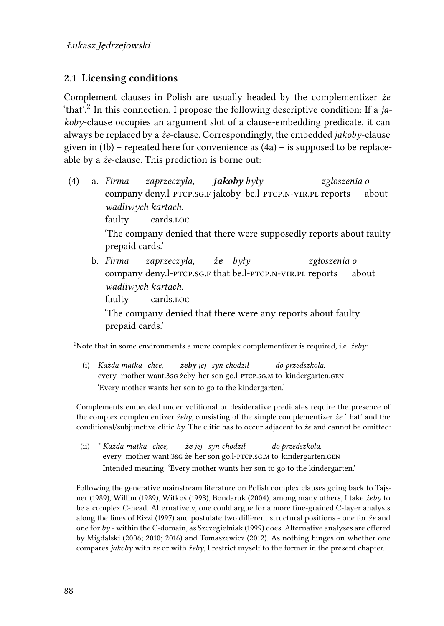## <span id="page-3-2"></span>**2.1 Licensing conditions**

Complement clauses in Polish are usually headed by the complementizer *że* 'that'.<sup>[2](#page-3-0)</sup> In this connection, I propose the following descriptive condition: If a ja*koby*-clause occupies an argument slot of a clause-embedding predicate, it can always be replaced by a *że*-clause. Correspondingly, the embedded *jakoby*-clause givenin  $(1b)$  – repeated here for convenience as  $(4a)$  $(4a)$  $(4a)$  – is supposed to be replaceable by a *że*-clause. This prediction is borne out:

- <span id="page-3-1"></span>(4) a. *Firma* company deny.l-ptcp.sg.f jakoby be.l-ptcp.n-vir.pl reports *zaprzeczyła, jakoby były zgłoszenia o* about *wadliwych kartach.* faulty cards.loc 'The company denied that there were supposedly reports about faulty prepaid cards.'
	- b. *Firma* company deny.l-ptcp.sg.f that be.l-ptcp.n-vir.pl reports *zaprzeczyła, że były zgłoszenia o* about *wadliwych kartach.* faulty cards.loc 'The company denied that there were any reports about faulty prepaid cards.'

<span id="page-3-0"></span><sup>2</sup>Note that in some environments a more complex complementizer is required, i.e. *żeby*:

(i) *Każda matka chce,* every mother want.3sg żeby her son go.l-ptcp.sg.m to kindergarten.gen *żeby jej syn chodził do przedszkola.* 'Every mother wants her son to go to the kindergarten.'

Complements embedded under volitional or desiderative predicates require the presence of the complex complementizer *żeby*, consisting of the simple complementizer *że* 'that' and the conditional/subjunctive clitic *by*. The clitic has to occur adjacent to *że* and cannot be omitted:

(ii) \* *Każda matka chce,* every mother want.3sg że her son go.l-ptcp.sg.m to kindergarten.gen *że jej syn chodził do przedszkola.* Intended meaning: 'Every mother wants her son to go to the kindergarten.'

Following the generative mainstream literature on Polish complex clauses going back to [Tajs](#page-44-1)[ner \(1989\),](#page-44-1) [Willim \(1989\)](#page-45-4), [Witkoś \(1998\),](#page-45-5) [Bondaruk \(2004\)](#page-40-0), among many others, I take *żeby* to be a complex C-head. Alternatively, one could argue for a more fine-grained C-layer analysis along the lines of [Rizzi \(1997\)](#page-43-1) and postulate two different structural positions - one for *że* and one for *by* - within the C-domain, as [Szczegielniak \(1999\)](#page-44-2) does. Alternative analyses are offered by [Migdalski](#page-43-2) ([2006](#page-42-5); [2010](#page-42-6); [2016](#page-43-2)) and [Tomaszewicz \(2012\).](#page-44-3) As nothing hinges on whether one compares *jakoby* with *że* or with *żeby*, I restrict myself to the former in the present chapter.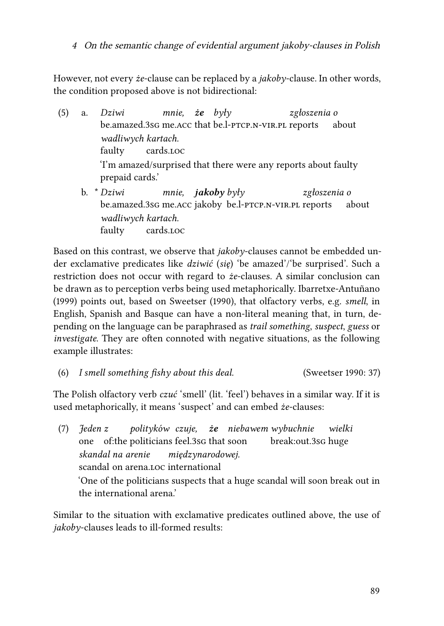However, not every *że*-clause can be replaced by a *jakoby*-clause. In other words, the condition proposed above is not bidirectional:

- (5) a. *Dziwi* be.amazed.3sG me.Acc that be.l-PTCP.N-VIR.PL reports *mnie, że były zgłoszenia o* about *wadliwych kartach.* faulty cards.loc 'I'm amazed/surprised that there were any reports about faulty prepaid cards.'
	- b. \* *Dziwi* be.amazed.3sg me.acc jakoby be.l-ptcp.n-vir.pl reports *mnie, jakoby były zgłoszenia o* about *wadliwych kartach.* faulty cards.loc

Based on this contrast, we observe that *jakoby*-clauses cannot be embedded under exclamative predicates like *dziwić* (*się*) 'be amazed'/'be surprised'. Such a restriction does not occur with regard to *że*-clauses. A similar conclusion can be drawn as to perception verbs being used metaphorically. [Ibarretxe-Antuñano](#page-41-2) [\(1999\)](#page-41-2) points out, based on [Sweetser \(1990\)](#page-44-4), that olfactory verbs, e.g. *smell*, in English, Spanish and Basque can have a non-literal meaning that, in turn, depending on the language can be paraphrased as *trail something*, *suspect*, *guess* or *investigate*. They are often connoted with negative situations, as the following example illustrates:

(6) *I smell something fishy about this deal.* ([Sweetser 1990:](#page-44-4) 37)

The Polish olfactory verb *czuć* 'smell' (lit. 'feel') behaves in a similar way. If it is used metaphorically, it means 'suspect' and can embed *że*-clauses:

(7) *Jeden z* one of:the politicians feel.3sg that soon *polityków czuje, że niebawem wybuchnie* break:out.3sg huge *wielki skandal na arenie* scandal on arena.loc international *międzynarodowej.* 'One of the politicians suspects that a huge scandal will soon break out in the international arena.'

Similar to the situation with exclamative predicates outlined above, the use of *jakoby*-clauses leads to ill-formed results: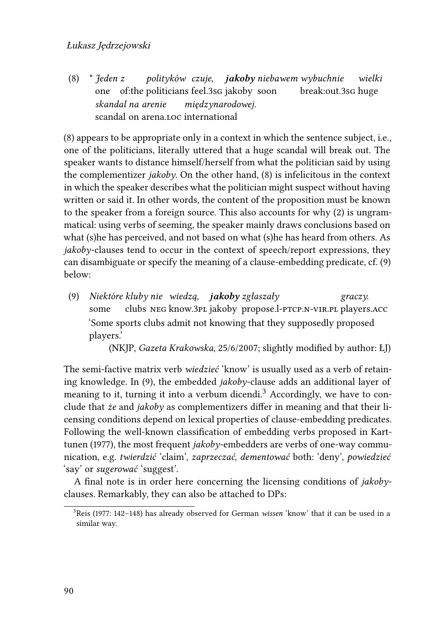<span id="page-5-0"></span>(8) \* *Jeden z* one of:the politicians feel.3sg jakoby soon *polityków czuje, jakoby niebawem wybuchnie* break:out.3sg huge *wielki skandal na arenie* scandal on arena.loc international *międzynarodowej.*

[\(8](#page-5-0)) appears to be appropriate only in a context in which the sentence subject, i.e., one of the politicians, literally uttered that a huge scandal will break out. The speaker wants to distance himself/herself from what the politician said by using the complementizer *jakoby*. On the other hand, [\(8](#page-5-0)) is infelicitous in the context in which the speaker describes what the politician might suspect without having written or said it. In other words, the content of the proposition must be known to the speaker from a foreign source. This also accounts for why [\(2\)](#page-1-2) is ungrammatical: using verbs of seeming, the speaker mainly draws conclusions based on what (s)he has perceived, and not based on what (s)he has heard from others. As *jakoby*-clauses tend to occur in the context of speech/report expressions, they can disambiguate or specify the meaning of a clause-embedding predicate, cf. [\(9](#page-5-1)) below:

<span id="page-5-1"></span>(9) *Niektóre kluby nie wiedzą, jakoby zgłaszały* some clubs neg know.3pl jakoby propose.l-ptcp.n-vir.pl players.acc *graczy.* 'Some sports clubs admit not knowing that they supposedly proposed players.'

(NKJP, *Gazeta Krakowska*, 25/6/2007; slightly modified by author: ŁJ)

The semi-factive matrix verb *wiedzieć* 'know' is usually used as a verb of retaining knowledge. In([9\)](#page-5-1), the embedded *jakoby*-clause adds an additional layer of meaning to it, turning it into a verbum dicendi.<sup>[3](#page-5-2)</sup> Accordingly, we have to conclude that *że* and *jakoby* as complementizers differ in meaning and that their licensing conditions depend on lexical properties of clause-embedding predicates. Following the well-known classification of embedding verbs proposed in [Kart](#page-42-7)[tunen \(1977\)](#page-42-7), the most frequent *jakoby*-embedders are verbs of one-way communication, e.g. *twierdzić* 'claim', *zaprzeczać*, *dementować* both: 'deny', *powiedzieć* 'say' or *sugerować* 'suggest'.

A final note is in order here concerning the licensing conditions of *jakoby*clauses. Remarkably, they can also be attached to DPs:

<span id="page-5-2"></span><sup>3</sup>[Reis \(1977:](#page-43-3) 142–148) has already observed for German *wissen* 'know' that it can be used in a similar way.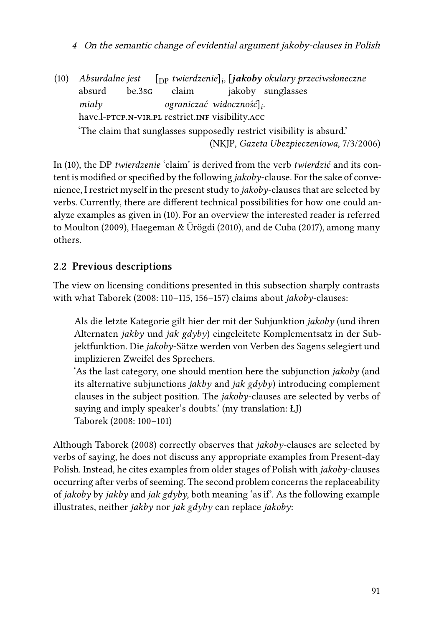<sup>4</sup> On the semantic change of evidential argument jakoby-clauses in Polish

<span id="page-6-0"></span>(10) *Absurdalne jest* absurd be.3sg [DP *twierdzenie*]*<sup>i</sup> ,* [*jakoby okulary przeciwsłoneczne* claim jakoby sunglasses *miały* have.l-PTCP.N-VIR.PL restrict.INF visibility.ACC *ograniczać widoczność*]*<sup>i</sup> .* 'The claim that sunglasses supposedly restrict visibility is absurd.' (NKJP, *Gazeta Ubezpieczeniowa*, 7/3/2006)

In [\(10\)](#page-6-0), the DP *twierdzenie* 'claim' is derived from the verb *twierdzić* and its content is modified or specified by the following *jakoby*-clause. For the sake of convenience, I restrict myself in the present study to *jakoby*-clauses that are selected by verbs. Currently, there are different technical possibilities for how one could analyze examples as given in([10](#page-6-0)). For an overview the interested reader is referred to [Moulton \(2009\),](#page-43-4) [Haegeman & Ürögdi \(2010\)](#page-41-3), and [de Cuba \(2017\),](#page-40-1) among many others.

# **2.2 Previous descriptions**

The view on licensing conditions presented in this subsection sharply contrasts with what [Taborek \(2008](#page-44-5): 110–115, 156–157) claims about *jakoby*-clauses:

Als die letzte Kategorie gilt hier der mit der Subjunktion *jakoby* (und ihren Alternaten *jakby* und *jak gdyby*) eingeleitete Komplementsatz in der Subjektfunktion. Die *jakoby*-Sätze werden von Verben des Sagens selegiert und implizieren Zweifel des Sprechers.

'As the last category, one should mention here the subjunction *jakoby* (and its alternative subjunctions *jakby* and *jak gdyby*) introducing complement clauses in the subject position. The *jakoby*-clauses are selected by verbs of saying and imply speaker's doubts.' (my translation: ŁJ) [Taborek \(2008](#page-44-5): 100–101)

Although [Taborek \(2008\)](#page-44-5) correctly observes that *jakoby*-clauses are selected by verbs of saying, he does not discuss any appropriate examples from Present-day Polish. Instead, he cites examples from older stages of Polish with *jakoby*-clauses occurring after verbs of seeming. The second problem concerns the replaceability of *jakoby* by *jakby* and *jak gdyby*, both meaning 'as if'. As the following example illustrates, neither *jakby* nor *jak gdyby* can replace *jakoby*: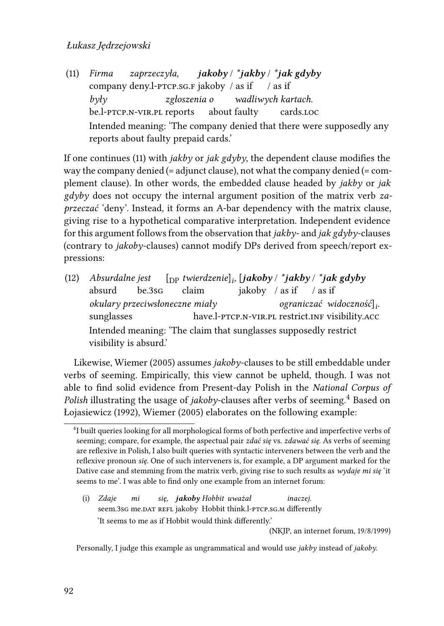<span id="page-7-0"></span>(11) *Firma* company deny.l-ptcp.sg.f jakoby / as if / as if *zaprzeczyła, jakoby* / *\*jakby* / *\*jak gdyby były* be.l-PTCP.N-VIR.PL reports *zgłoszenia o* about faulty *wadliwych kartach.* cards.loc Intended meaning: 'The company denied that there were supposedly any reports about faulty prepaid cards.'

If one continues [\(11](#page-7-0)) with *jakby* or *jak gdyby*, the dependent clause modifies the way the company denied (= adjunct clause), not what the company denied (= complement clause). In other words, the embedded clause headed by *jakby* or *jak gdyby* does not occupy the internal argument position of the matrix verb *zaprzeczać* 'deny'. Instead, it forms an A-bar dependency with the matrix clause, giving rise to a hypothetical comparative interpretation. Independent evidence for this argument follows from the observation that *jakby*- and *jak gdyby*-clauses (contrary to *jakoby*-clauses) cannot modify DPs derived from speech/report expressions:

(12) *Absurdalne jest* absurd be.3sg [DP *twierdzenie*]*<sup>i</sup> ,* [*jakoby* / *\*jakby* / *\*jak gdyby* claim jakoby / as if / as if *okulary przeciwsłoneczne miały* sunglasses have.l-PTCP.N-VIR.PL restrict.INF visibility.ACC *ograniczać widoczność*]*<sup>i</sup> .* Intended meaning: 'The claim that sunglasses supposedly restrict visibility is absurd.'

Likewise, [Wiemer \(2005\)](#page-45-6) assumes *jakoby*-clauses to be still embeddable under verbs of seeming. Empirically, this view cannot be upheld, though. I was not able to find solid evidence from Present-day Polish in the *National Corpus of Polish* illustrating the usage of *jakoby*-clauses after verbs of seeming.<sup>[4](#page-7-1)</sup> Based on [Łojasiewicz \(1992\),](#page-42-8) [Wiemer \(2005\)](#page-45-6) elaborates on the following example:

(i) *Zdaje* seem.3sG me.DAT REFL jakoby Hobbit think.l-PTCP.SG.M differently *mi się, jakoby Hobbit uważał inaczej.* 'It seems to me as if Hobbit would think differently.'

(NKJP, an internet forum, 19/8/1999)

Personally, I judge this example as ungrammatical and would use *jakby* instead of *jakoby*.

<span id="page-7-1"></span><sup>&</sup>lt;sup>4</sup>I built queries looking for all morphological forms of both perfective and imperfective verbs of seeming; compare, for example, the aspectual pair *zdać się* vs. *zdawać się*. As verbs of seeming are reflexive in Polish, I also built queries with syntactic interveners between the verb and the reflexive pronoun *się*. One of such interveners is, for example, a DP argument marked for the Dative case and stemming from the matrix verb, giving rise to such results as *wydaje mi się* 'it seems to me'. I was able to find only one example from an internet forum: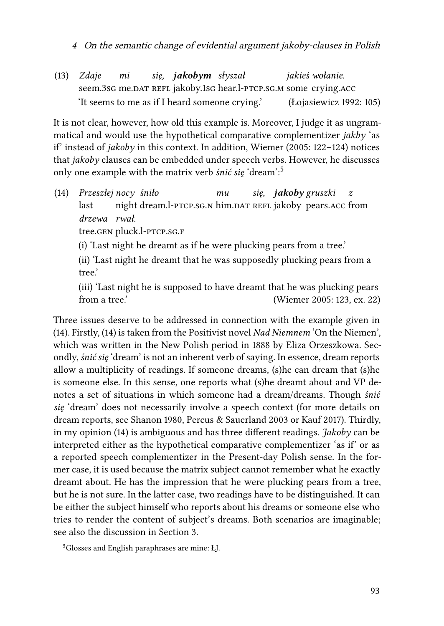(13) *Zdaje* seem.3sG me.<code>DAT</code> <code>REFL</code> jakoby.1sG hear.l-PTCP.SG.M some <code>crying.acc</code> *mi się, jakobym słyszał jakieś wołanie.* 'It seems to me as if I heard someone crying.' [\(Łojasiewicz 1992](#page-42-8): 105)

It is not clear, however, how old this example is. Moreover, I judge it as ungrammatical and would use the hypothetical comparative complementizer *jakby* 'as if' instead of *jakoby* in this context. In addition, [Wiemer \(2005:](#page-45-6) 122–124) notices that *jakoby* clauses can be embedded under speech verbs. However, he discusses only one example with the matrix verb *śnić się* 'dream':[5](#page-8-0)

<span id="page-8-1"></span>(14) *Przeszłej nocy śniło* last night dream.l-PTCP.sG.n him.<code>DAT</code> REFL jakoby <code>pears.acc</code> from *mu się, jakoby gruszki z drzewa rwał.*

tree.gen pluck.l-ptcp.sg.f

(i) 'Last night he dreamt as if he were plucking pears from a tree.'

(ii) 'Last night he dreamt that he was supposedly plucking pears from a tree.'

(iii) 'Last night he is supposed to have dreamt that he was plucking pears from a tree.' [\(Wiemer 2005](#page-45-6): 123, ex. 22)

Three issues deserve to be addressed in connection with the example given in [\(14](#page-8-1)). Firstly,([14](#page-8-1)) is taken from the Positivist novel *Nad Niemnem* 'On the Niemen', which was written in the New Polish period in 1888 by Eliza Orzeszkowa. Secondly, *śnić się* 'dream' is not an inherent verb of saying. In essence, dream reports allow a multiplicity of readings. If someone dreams, (s)he can dream that (s)he is someone else. In this sense, one reports what (s)he dreamt about and VP denotes a set of situations in which someone had a dream/dreams. Though *śnić się* 'dream' does not necessarily involve a speech context (for more details on dream reports, see [Shanon 1980,](#page-43-5) [Percus & Sauerland 2003](#page-43-6) or [Kauf 2017](#page-42-9)). Thirdly, in my opinion([14](#page-8-1)) is ambiguous and has three different readings. *Jakoby* can be interpreted either as the hypothetical comparative complementizer 'as if' or as a reported speech complementizer in the Present-day Polish sense. In the former case, it is used because the matrix subject cannot remember what he exactly dreamt about. He has the impression that he were plucking pears from a tree, but he is not sure. In the latter case, two readings have to be distinguished. It can be either the subject himself who reports about his dreams or someone else who tries to render the content of subject's dreams. Both scenarios are imaginable; see also the discussion in Section [3](#page-22-0).

<span id="page-8-0"></span><sup>5</sup>Glosses and English paraphrases are mine: ŁJ.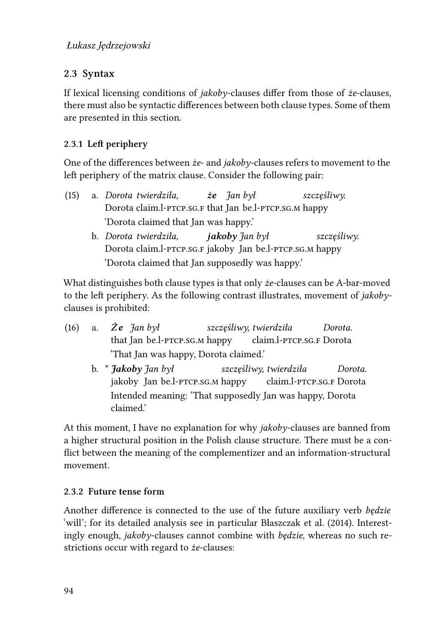# **2.3 Syntax**

If lexical licensing conditions of *jakoby*-clauses differ from those of *że*-clauses, there must also be syntactic differences between both clause types. Some of them are presented in this section.

# **2.3.1 Left periphery**

One of the differences between *że*- and *jakoby*-clauses refers to movement to the left periphery of the matrix clause. Consider the following pair:

- (15) a. *Dorota twierdziła,* Dorota claim.l-ptcp.sg.f that Jan be.l-ptcp.sg.m happy *że Jan był szczęśliwy.* 'Dorota claimed that Jan was happy.'
	- b. *Dorota twierdziła,* Dorota claim.l-ptcp.sg.f jakoby Jan be.l-ptcp.sg.m happy *jakoby Jan był szczęśliwy.* 'Dorota claimed that Jan supposedly was happy.'

What distinguishes both clause types is that only *że*-clauses can be A-bar-moved to the left periphery. As the following contrast illustrates, movement of *jakoby*clauses is prohibited:

- (16) a. *Że Jan był* that Jan be.l-ptcp.sg.m happy *szczęśliwy, twierdziła* claim.l-ptcp.sg.f Dorota *Dorota.* 'That Jan was happy, Dorota claimed.'
	- b. \* *Jakoby Jan był* jakoby Jan be.l-ptcp.sg.m happy *szczęśliwy, twierdziła* claim.l-ptcp.sg.f Dorota *Dorota.* Intended meaning: 'That supposedly Jan was happy, Dorota claimed.'

At this moment, I have no explanation for why *jakoby*-clauses are banned from a higher structural position in the Polish clause structure. There must be a conflict between the meaning of the complementizer and an information-structural movement.

# **2.3.2 Future tense form**

Another difference is connected to the use of the future auxiliary verb *będzie* 'will'; for its detailed analysis see in particular [Błaszczak et al. \(2014\).](#page-40-2) Interestingly enough, *jakoby*-clauses cannot combine with *będzie*, whereas no such restrictions occur with regard to *że*-clauses: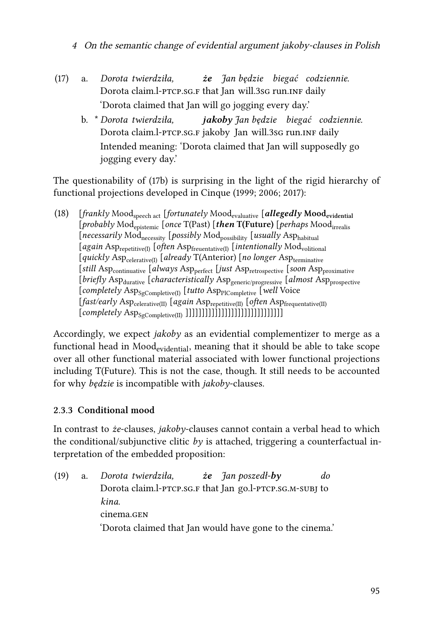- <sup>4</sup> On the semantic change of evidential argument jakoby-clauses in Polish
- <span id="page-10-0"></span>(17) a. *Dorota twierdziła,* Dorota claim.l-PTCP.sG.F that Jan will.3sG run.ɪNF daily *że Jan będzie biegać codziennie.* 'Dorota claimed that Jan will go jogging every day.'
	- b. \* *Dorota twierdziła,* Dorota claim.l-PTCP.sG.F jakoby Jan will.3sG run.ɪnF daily *jakoby Jan będzie biegać codziennie.* Intended meaning: 'Dorota claimed that Jan will supposedly go jogging every day.'

The questionability of [\(17b](#page-10-0)) is surprising in the light of the rigid hierarchy of functional projections developed in [Cinque](#page-40-3) [\(1999;](#page-40-3) [2006](#page-40-4); [2017\)](#page-40-5):

<span id="page-10-1"></span>(18) [*frankly* Moodspeech act [*fortunately* Moodevaluative [*allegedly* **Moodevidential** [*probably* Modepistemic [*once* T(Past) [*then* **T(Future)** [*perhaps* Moodirrealis [*necessarily* Modnecessity [*possibly* Modpossibility [*usually* Asphabitual [*again* Asprepetitive(I) [*often* Aspfreuentative(I) [*intentionally* Modvolitional [*quickly* Aspcelerative(I) [*already* T(Anterior) [*no longer* Aspterminative [*still* Asp<sub>continuative</sub> [*always* Asp<sub>perfect</sub> [*just* Asp<sub>retrospective</sub> [*soon* Asp<sub>proximative</sub> [*briefly* Asp<sub>durative</sub> [*characteristically* Asp<sub>generic/progressive [*almost* Asp<sub>prospective</sub></sub> [*completely* Asp<sub>SgCompletive(I)</sub> [*tutto* Asp<sub>PlCompletive</sub> [*well* Voice [*fast/early* Aspcelerative(II) [*again* Asprepetitive(II) [*often* Aspfrequentative(II)  $[complex Asp<sub>SCompletive(II)]</sub>$ ]]]]]]]]]]]]]]]]]]]

Accordingly, we expect *jakoby* as an evidential complementizer to merge as a functional head in  $Mod_{evidential}$ , meaning that it should be able to take scope over all other functional material associated with lower functional projections including T(Future). This is not the case, though. It still needs to be accounted for why *będzie* is incompatible with *jakoby*-clauses.

## **2.3.3 Conditional mood**

In contrast to *że*-clauses, *jakoby*-clauses cannot contain a verbal head to which the conditional/subjunctive clitic *by* is attached, triggering a counterfactual interpretation of the embedded proposition:

(19) a. *Dorota twierdziła,* Dorota claim.l-PTCP.SG.F that Jan go.l-PTCP.SG.M-SUBJ to *że Jan poszedł-by do kina.* cinema.gen 'Dorota claimed that Jan would have gone to the cinema.'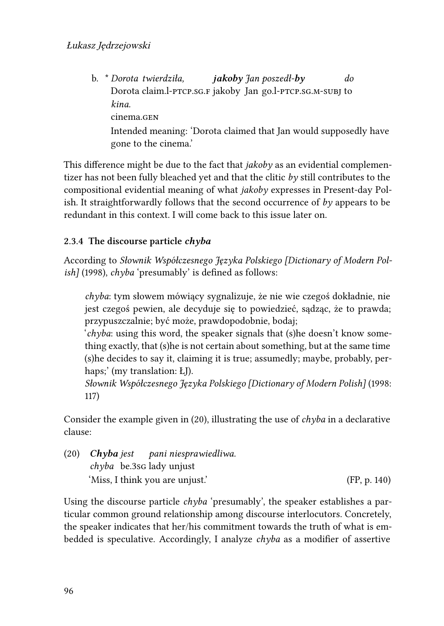b. \* *Dorota twierdziła,* Dorota claim.l-ptcp.sg.f jakoby Jan go.l-ptcp.sg.m-subj to *jakoby Jan poszedł-by do kina.* cinema.gen Intended meaning: 'Dorota claimed that Jan would supposedly have gone to the cinema.'

This difference might be due to the fact that *jakoby* as an evidential complementizer has not been fully bleached yet and that the clitic *by* still contributes to the compositional evidential meaning of what *jakoby* expresses in Present-day Polish. It straightforwardly follows that the second occurrence of *by* appears to be redundant in this context. I will come back to this issue later on.

## **2.3.4 The discourse particle** *chyba*

According to *[Słownik Współczesnego Języka Polskiego \[Dictionary of Modern Pol](#page-43-7)ish]* [\(1998\),](#page-43-7) *chyba* 'presumably' is defined as follows:

*chyba*: tym słowem mówiący sygnalizuje, że nie wie czegoś dokładnie, nie jest czegoś pewien, ale decyduje się to powiedzieć, sądząc, że to prawda; przypuszczalnie; być może, prawdopodobnie, bodaj;

'*chyba*: using this word, the speaker signals that (s)he doesn't know something exactly, that (s)he is not certain about something, but at the same time (s)he decides to say it, claiming it is true; assumedly; maybe, probably, perhaps;' (my translation: ŁJ).

*[Słownik Współczesnego Języka Polskiego \[Dictionary of Modern Polish\]](#page-43-7)* (1998: 117)

Consider the example given in([20](#page-11-0)), illustrating the use of *chyba* in a declarative clause:

<span id="page-11-0"></span>(20) *Chyba jest chyba* be.3sg lady unjust *pani niesprawiedliwa.* 'Miss, I think you are unjust.' (FP, p. 140)

Using the discourse particle *chyba* 'presumably', the speaker establishes a particular common ground relationship among discourse interlocutors. Concretely, the speaker indicates that her/his commitment towards the truth of what is embedded is speculative. Accordingly, I analyze *chyba* as a modifier of assertive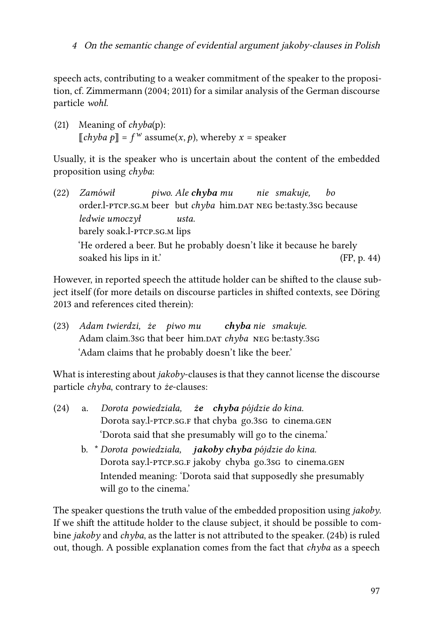speech acts, contributing to a weaker commitment of the speaker to the proposition, cf. [Zimmermann](#page-45-7) [\(2004](#page-45-7); [2011\)](#page-45-8) for a similar analysis of the German discourse particle *wohl*.

(21) Meaning of *chyba*(p):  $[[chyba \ p]] = f^w$  assume $(x, p)$ , whereby  $x =$  speaker

Usually, it is the speaker who is uncertain about the content of the embedded proposition using *chyba*:

(22) *Zamówił* order.l-PTCP.SG.M beer but *chyba* him.DAT NEG be:tasty.3sG because *piwo. Ale chyba mu nie smakuje, bo ledwie umoczył* barely soak.l-ptcp.sg.m lips *usta.* 'He ordered a beer. But he probably doesn't like it because he barely soaked his lips in it.' (FP, p. 44)

However, in reported speech the attitude holder can be shifted to the clause subject itself (for more details on discourse particles in shifted contexts, see [Döring](#page-40-6) [2013](#page-40-6) and references cited therein):

(23) *Adam twierdzi, że piwo mu* Adam claim.3sG that beer him.DAT chyba NEG be:tasty.3sG *chyba nie smakuje.* 'Adam claims that he probably doesn't like the beer.'

What is interesting about *jakoby*-clauses is that they cannot license the discourse particle *chyba*, contrary to *że*-clauses:

- <span id="page-12-0"></span>(24) a. *Dorota powiedziała, że chyba pójdzie do kina.* Dorota say.l-PTCP.sG.F that chyba go.3sG to cinema.GEN 'Dorota said that she presumably will go to the cinema.'
	- b. \* *Dorota powiedziała, jakoby chyba pójdzie do kina.* Dorota say.l-PTCP.SG.F jakoby chyba go.3sG to cinema.GEN Intended meaning: 'Dorota said that supposedly she presumably will go to the cinema.'

The speaker questions the truth value of the embedded proposition using *jakoby*. If we shift the attitude holder to the clause subject, it should be possible to combine *jakoby* and *chyba*, as the latter is not attributed to the speaker. [\(24b](#page-12-0)) is ruled out, though. A possible explanation comes from the fact that *chyba* as a speech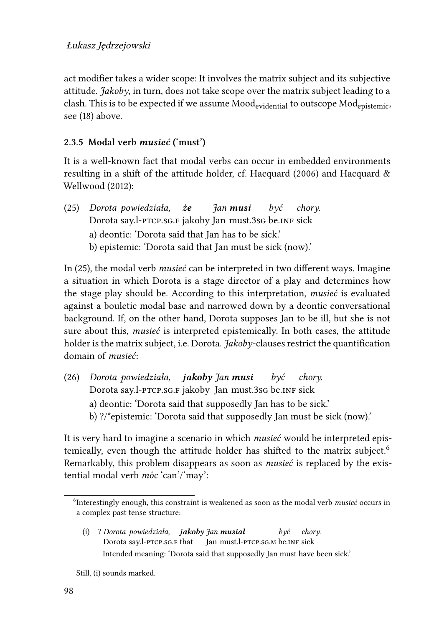act modifier takes a wider scope: It involves the matrix subject and its subjective attitude. *Jakoby*, in turn, does not take scope over the matrix subject leading to a clash. This is to be expected if we assume Mood<sub>evidential</sub> to outscope Mod<sub>epistemic</sub>, see([18\)](#page-10-1) above.

#### **2.3.5 Modal verb** *musieć* **('must')**

It is a well-known fact that modal verbs can occur in embedded environments resulting in a shift of the attitude holder, cf. [Hacquard \(2006\)](#page-41-4) and [Hacquard &](#page-41-5) [Wellwood \(2012\):](#page-41-5)

<span id="page-13-0"></span>(25) *Dorota powiedziała,* Dorota say.l-PTCP.sG.F jakoby Jan must.3sG be.inF sick *że Jan musi być chory.* a) deontic: 'Dorota said that Jan has to be sick.' b) epistemic: 'Dorota said that Jan must be sick (now).'

In [\(25\)](#page-13-0), the modal verb *musieć* can be interpreted in two different ways. Imagine a situation in which Dorota is a stage director of a play and determines how the stage play should be. According to this interpretation, *musieć* is evaluated against a bouletic modal base and narrowed down by a deontic conversational background. If, on the other hand, Dorota supposes Jan to be ill, but she is not sure about this, *musieć* is interpreted epistemically. In both cases, the attitude holder is the matrix subject, i.e. Dorota. *Jakoby*-clauses restrict the quantification domain of *musieć*:

(26) *Dorota powiedziała, jakoby Jan musi* Dorota say.l-PTCP.sG.F jakoby Jan must.3sG be.inF sick *być chory.* a) deontic: 'Dorota said that supposedly Jan has to be sick.' b) ?/\*epistemic: 'Dorota said that supposedly Jan must be sick (now).'

It is very hard to imagine a scenario in which *musieć* would be interpreted epis-temically, even though the attitude holder has shifted to the matrix subject.<sup>[6](#page-13-1)</sup> Remarkably, this problem disappears as soon as *musieć* is replaced by the existential modal verb *móc* 'can'/'may':

<span id="page-13-2"></span>(i) ? *Dorota powiedziała, jakoby Jan musiał* Dorota say.l-PTCP.SG.F that Jan must.l-ptcp.sg.m be.inf sick *być chory.* Intended meaning: 'Dorota said that supposedly Jan must have been sick.'

<span id="page-13-1"></span><sup>6</sup> Interestingly enough, this constraint is weakened as soon as the modal verb *musieć* occurs in a complex past tense structure:

Still, [\(i\)](#page-13-2) sounds marked.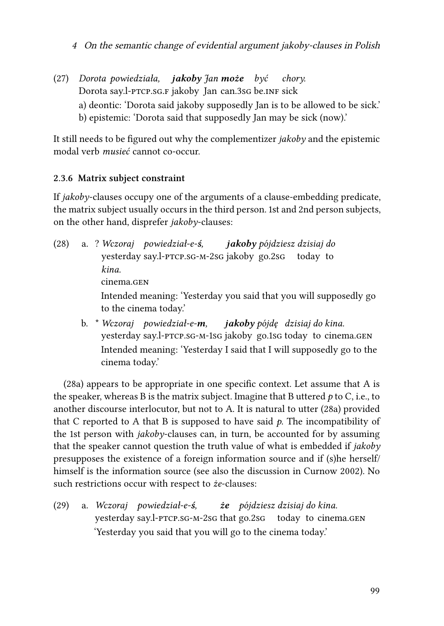<sup>4</sup> On the semantic change of evidential argument jakoby-clauses in Polish

(27) *Dorota powiedziała, jakoby Jan może być* Dorota say.l-PTCP.sG.F jakoby Jan can.3sG be.inF sick *chory.* a) deontic: 'Dorota said jakoby supposedly Jan is to be allowed to be sick.' b) epistemic: 'Dorota said that supposedly Jan may be sick (now).'

It still needs to be figured out why the complementizer *jakoby* and the epistemic modal verb *musieć* cannot co-occur.

#### **2.3.6 Matrix subject constraint**

If *jakoby*-clauses occupy one of the arguments of a clause-embedding predicate, the matrix subject usually occurs in the third person. 1st and 2nd person subjects, on the other hand, disprefer *jakoby*-clauses:

- <span id="page-14-0"></span>(28) a. ? *Wczoraj powiedział-e-ś,* yesterday say.l-ptcp.sg-m-2sg jakoby go.2sg *jakoby pójdziesz dzisiaj do* today to *kina.* cinema.gen Intended meaning: 'Yesterday you said that you will supposedly go to the cinema today.'
	- b. \* *Wczoraj powiedział-e-m,* yesterday say.l-PTCP.SG-M-1SG jakoby go.1sG today to cinema.GEN *jakoby pójdę dzisiaj do kina.* Intended meaning: 'Yesterday I said that I will supposedly go to the cinema today.'

<span id="page-14-1"></span>[\(28a\)](#page-14-0) appears to be appropriate in one specific context. Let assume that A is the speaker, whereas B is the matrix subject. Imagine that B uttered *p* to C, i.e., to another discourse interlocutor, but not to A. It is natural to utter([28a\)](#page-14-0) provided that C reported to A that B is supposed to have said  $p$ . The incompatibility of the 1st person with *jakoby*-clauses can, in turn, be accounted for by assuming that the speaker cannot question the truth value of what is embedded if *jakoby* presupposes the existence of a foreign information source and if (s)he herself/ himself is the information source (see also the discussion in [Curnow 2002\)](#page-40-7). No such restrictions occur with respect to *że*-clauses:

(29) a. *Wczoraj powiedział-e-ś,* yesterday say.l-PTCP.SG-M-2sG that go.2sG today to cinema.GEN *że pójdziesz dzisiaj do kina.* 'Yesterday you said that you will go to the cinema today.'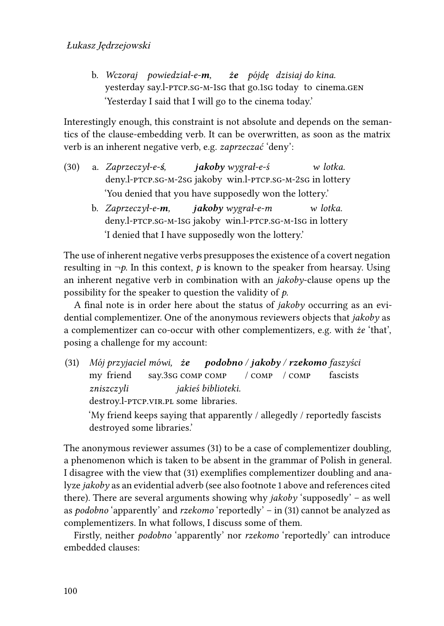b. *Wczoraj powiedział-e-m,* yesterday say.l-PTCP.SG-M-1sG that go.1sG today to cinema.GEN *że pójdę dzisiaj do kina.* 'Yesterday I said that I will go to the cinema today.'

Interestingly enough, this constraint is not absolute and depends on the semantics of the clause-embedding verb. It can be overwritten, as soon as the matrix verb is an inherent negative verb, e.g. *zaprzeczać* 'deny':

- (30) a. *Zaprzeczył-e-ś,* deny.l-ptcp.sg-m-2sg jakoby win.l-ptcp.sg-m-2sg in lottery *jakoby wygrał-e-ś w lotka.* 'You denied that you have supposedly won the lottery.'
	- b. *Zaprzeczył-e-m,* deny.l-ptcp.sg-m-1sg jakoby win.l-ptcp.sg-m-1sg in lottery *jakoby wygrał-e-m w lotka.* 'I denied that I have supposedly won the lottery.'

The use of inherent negative verbs presupposes the existence of a covert negation resulting in  $\neg p$ . In this context, *p* is known to the speaker from hearsay. Using an inherent negative verb in combination with an *jakoby*-clause opens up the possibility for the speaker to question the validity of *p*.

A final note is in order here about the status of *jakoby* occurring as an evidential complementizer. One of the anonymous reviewers objects that *jakoby* as a complementizer can co-occur with other complementizers, e.g. with *że* 'that', posing a challenge for my account:

<span id="page-15-0"></span>(31) *Mój przyjaciel mówi, że podobno / jakoby / rzekomo faszyści* my friend say.3sg comp comp / comp / comp fascists *zniszczyli* destroy.l-PTCP.VIR.PL some libraries. *jakieś biblioteki.*

'My friend keeps saying that apparently / allegedly / reportedly fascists destroyed some libraries.'

The anonymous reviewer assumes([31\)](#page-15-0) to be a case of complementizer doubling, a phenomenon which is taken to be absent in the grammar of Polish in general. I disagree with the view that([31\)](#page-15-0) exemplifies complementizer doubling and analyze *jakoby* as an evidential adverb (see also footnote 1 above and references cited there). There are several arguments showing why *jakoby* 'supposedly' – as well as *podobno* 'apparently' and *rzekomo* 'reportedly' – in [\(31](#page-15-0)) cannot be analyzed as complementizers. In what follows, I discuss some of them.

Firstly, neither *podobno* 'apparently' nor *rzekomo* 'reportedly' can introduce embedded clauses: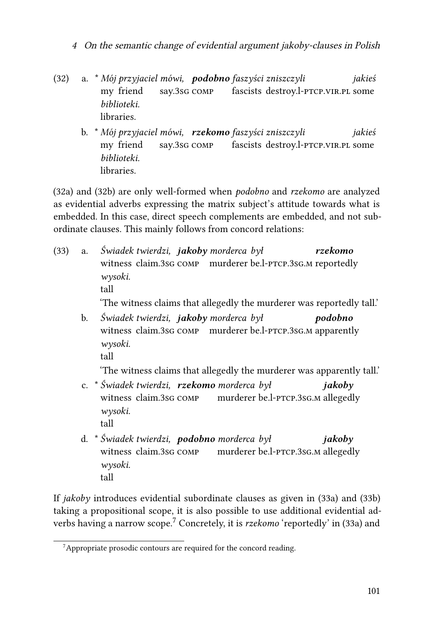- <span id="page-16-1"></span><span id="page-16-0"></span>(32) a. \* *Mój przyjaciel mówi, podobno faszyści zniszczyli* my friend say.3sg comp fascists destroy.l-ptcp.vir.pl some *jakieś biblioteki.* libraries.
	- b. \* *Mój przyjaciel mówi, rzekomo faszyści zniszczyli* my friend say.3sg comp fascists destroy.l-ptcp.vir.pl some *jakieś biblioteki.* libraries.

[\(32a](#page-16-0)) and [\(32b\)](#page-16-1) are only well-formed when *podobno* and *rzekomo* are analyzed as evidential adverbs expressing the matrix subject's attitude towards what is embedded. In this case, direct speech complements are embedded, and not subordinate clauses. This mainly follows from concord relations:

<span id="page-16-2"></span>(33) a. *Świadek twierdzi, jakoby morderca był* witness claim.3sg comp murderer be.l-ptcp.3sg.m reportedly *rzekomo wysoki.* tall 'The witness claims that allegedly the murderer was reportedly tall.' b. *Świadek twierdzi, jakoby morderca był* witness claim.3sg comp murderer be.l-ptcp.3sg.m apparently *podobno*

'The witness claims that allegedly the murderer was apparently tall.'

- <span id="page-16-5"></span>c. \* *Świadek twierdzi, rzekomo morderca był* witness claim.3sg comp murderer be.l-PTCP.3sG.M allegedly *jakoby wysoki.* tall
- <span id="page-16-6"></span>d. \* *Świadek twierdzi, podobno morderca był* witness claim.3sg comp murderer be.l-PTCP.3sG.M allegedly *jakoby wysoki.* tall

If *jakoby* introduces evidential subordinate clauses as given in([33a\)](#page-16-2) and [\(33b\)](#page-16-3) taking a propositional scope, it is also possible to use additional evidential adverbs having a narrow scope.[7](#page-16-4) Concretely, it is *rzekomo* 'reportedly' in [\(33a](#page-16-2)) and

<span id="page-16-3"></span>*wysoki.* tall

<span id="page-16-4"></span> $7$ Appropriate prosodic contours are required for the concord reading.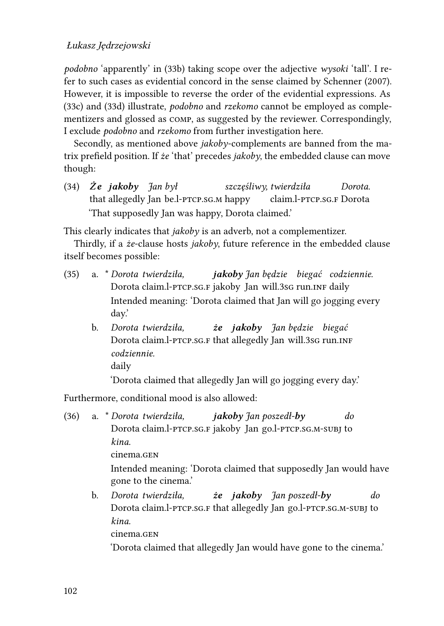#### Łukasz Jędrzejowski

*podobno* 'apparently' in([33b](#page-16-3)) taking scope over the adjective *wysoki* 'tall'. I refer to such cases as evidential concord in the sense claimed by [Schenner \(2007\)](#page-43-8). However, it is impossible to reverse the order of the evidential expressions. As [\(33c](#page-16-5)) and([33d](#page-16-6)) illustrate, *podobno* and *rzekomo* cannot be employed as complementizers and glossed as comp, as suggested by the reviewer. Correspondingly, I exclude *podobno* and *rzekomo* from further investigation here.

Secondly, as mentioned above *jakoby*-complements are banned from the matrix prefield position. If *że* 'that' precedes *jakoby*, the embedded clause can move though:

(34) *Że jakoby Jan był* that allegedly Jan be.l-ptcp.sg.m happy *szczęśliwy, twierdziła* claim.l-ptcp.sg.f Dorota *Dorota.* 'That supposedly Jan was happy, Dorota claimed.'

This clearly indicates that *jakoby* is an adverb, not a complementizer.

Thirdly, if a *że*-clause hosts *jakoby*, future reference in the embedded clause itself becomes possible:

- (35) a. \* *Dorota twierdziła,* Dorota claim.l-PTCP.sG.F jakoby Jan will.3sG run.ɪnF daily *jakoby Jan będzie biegać codziennie.* Intended meaning: 'Dorota claimed that Jan will go jogging every day.'
	- b. *Dorota twierdziła,* Dorota claim.l-PTCP.sG.F that allegedly Jan will.3sG run.1NF *że jakoby Jan będzie biegać codziennie.* daily

'Dorota claimed that allegedly Jan will go jogging every day.'

Furthermore, conditional mood is also allowed:

(36) a. \* *Dorota twierdziła,* Dorota claim.l-ptcp.sg.f jakoby Jan go.l-ptcp.sg.m-subj to *jakoby Jan poszedł-by do kina.* cinema.gen Intended meaning: 'Dorota claimed that supposedly Jan would have gone to the cinema.' b. *Dorota twierdziła, że jakoby Jan poszedł-by do*

Dorota claim.l-PTCP.sG.F that allegedly Jan go.l-PTCP.sG.M-SUBJ to *kina.*

cinema.gen

'Dorota claimed that allegedly Jan would have gone to the cinema.'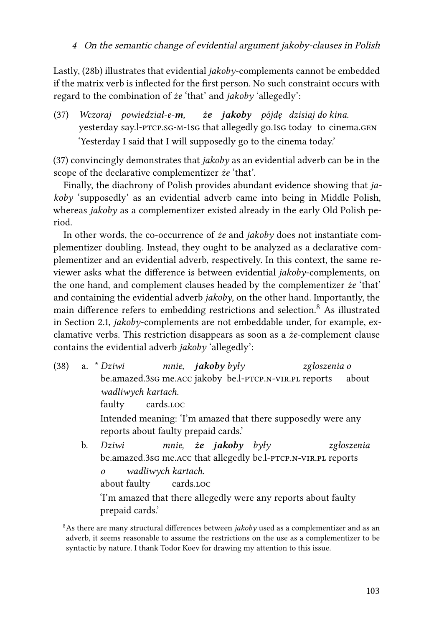Lastly, [\(28b](#page-14-1)) illustrates that evidential *jakoby*-complements cannot be embedded if the matrix verb is inflected for the first person. No such constraint occurs with regard to the combination of *że* 'that' and *jakoby* 'allegedly':

<span id="page-18-0"></span>(37) *Wczoraj powiedział-e-m,* yesterday say.l-PTCP.SG-M-1sG that allegedly go.1sG today to cinema.GEN *że jakoby pójdę dzisiaj do kina.* 'Yesterday I said that I will supposedly go to the cinema today.'

[\(37\)](#page-18-0) convincingly demonstrates that *jakoby* as an evidential adverb can be in the scope of the declarative complementizer *że* 'that'.

Finally, the diachrony of Polish provides abundant evidence showing that *jakoby* 'supposedly' as an evidential adverb came into being in Middle Polish, whereas *jakoby* as a complementizer existed already in the early Old Polish period.

In other words, the co-occurrence of *że* and *jakoby* does not instantiate complementizer doubling. Instead, they ought to be analyzed as a declarative complementizer and an evidential adverb, respectively. In this context, the same reviewer asks what the difference is between evidential *jakoby*-complements, on the one hand, and complement clauses headed by the complementizer *że* 'that' and containing the evidential adverb *jakoby*, on the other hand. Importantly, the main difference refers to embedding restrictions and selection.<sup>[8](#page-18-1)</sup> As illustrated in Section [2.1,](#page-3-2) *jakoby*-complements are not embeddable under, for example, exclamative verbs. This restriction disappears as soon as a *że*-complement clause contains the evidential adverb *jakoby* 'allegedly':

- (38) a. \* *Dziwi* be.amazed.3sg me.acc jakoby be.l-ptcp.n-vir.pl reports *mnie, jakoby były zgłoszenia o* about *wadliwych kartach.* faulty cards.loc Intended meaning: 'I'm amazed that there supposedly were any reports about faulty prepaid cards.' b. *Dziwi* be.amazed.3sG me.Acc that allegedly be.l-PTCP.N-VIR.PL reports *mnie, że jakoby były zgłoszenia*
	- *o wadliwych kartach.*

about faulty cards.loc

'I'm amazed that there allegedly were any reports about faulty prepaid cards.'

<span id="page-18-1"></span><sup>&</sup>lt;sup>8</sup>As there are many structural differences between *jakoby* used as a complementizer and as an adverb, it seems reasonable to assume the restrictions on the use as a complementizer to be syntactic by nature. I thank Todor Koev for drawing my attention to this issue.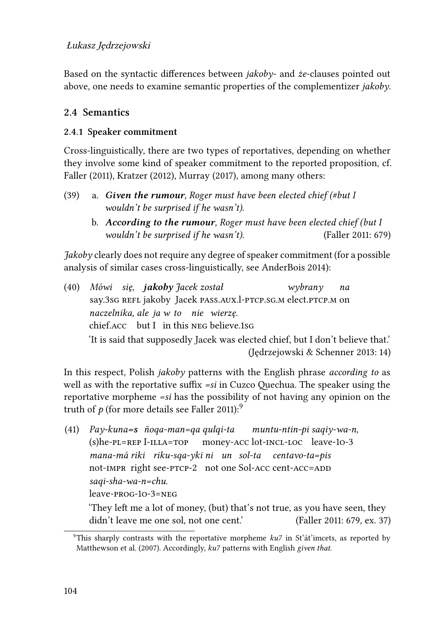Based on the syntactic differences between *jakoby*- and *że*-clauses pointed out above, one needs to examine semantic properties of the complementizer *jakoby*.

#### **2.4 Semantics**

#### **2.4.1 Speaker commitment**

Cross-linguistically, there are two types of reportatives, depending on whether they involve some kind of speaker commitment to the reported proposition, cf. [Faller \(2011\)](#page-41-1), [Kratzer \(2012\)](#page-42-3), [Murray \(2017\)](#page-43-9), among many others:

- (39) a. *Given the rumour, Roger must have been elected chief (#but I wouldn't be surprised if he wasn't).*
	- b. *According to the rumour, Roger must have been elected chief (but I wouldn't be surprised if he wasn't).* ([Faller 2011:](#page-41-1) 679)

*Jakoby* clearly does not require any degree of speaker commitment (for a possible analysis of similar cases cross-linguistically, see [AnderBois 2014\)](#page-40-8):

(40) *Mówi się, jakoby Jacek został* say.3sG REFL jakoby Jacek PAss.AUX.l-PTCP.sG.M elect.PTCP.M on *wybrany na naczelnika, ale ja w to nie wierzę.* chief.acc but I in this neg believe.1sg 'It is said that supposedly Jacek was elected chief, but I don't believe that.' ([Jędrzejowski & Schenner 2013:](#page-42-10) 14)

In this respect, Polish *jakoby* patterns with the English phrase *according to* as well as with the reportative suffix *=si* in Cuzco Quechua. The speaker using the reportative morpheme *=si* has the possibility of not having any opinion on the truth of *p* (for more details see [Faller 2011\)](#page-41-1):[9](#page-19-0)

(41) *Pay-kuna=s ñoqa-man=qa qulqi-ta* (s)he-pl=rep I-illa=top money-acc lot-incl-loc leave-1o-3 *muntu-ntin-pi saqiy-wa-n, mana-má riki riku-sqa-yki ni un sol-ta centavo-ta=pis* not-IMPR right see-PTCP-2 not one Sol-ACC cent-ACC=ADD *saqi-sha-wa-n=chu.* leave-prog-1o-3=neg

'They left me a lot of money, (but) that's not true, as you have seen, they didn't leave me one sol, not one cent.' [\(Faller 2011:](#page-41-1) 679, ex. 37)

<span id="page-19-0"></span><sup>9</sup>This sharply contrasts with the reportative morpheme *ku7* in St'át'imcets, as reported by [Matthewson et al. \(2007\).](#page-42-4) Accordingly, *ku7* patterns with English *given that*.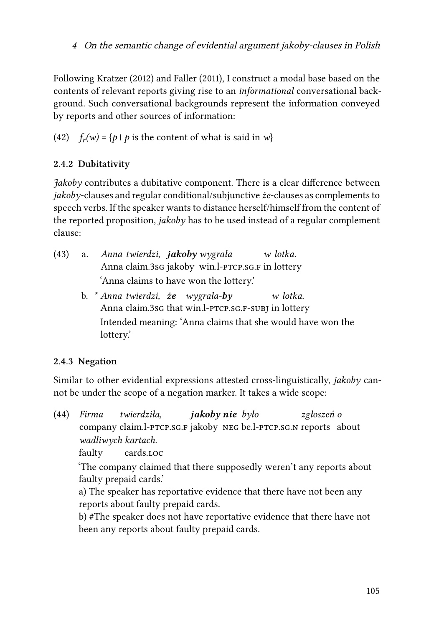Following [Kratzer \(2012\)](#page-42-3) and [Faller \(2011\)](#page-41-1), I construct a modal base based on the contents of relevant reports giving rise to an *informational* conversational background. Such conversational backgrounds represent the information conveyed by reports and other sources of information:

(42)  $f_r(w) = \{p \mid p \text{ is the content of what is said in } w\}$ 

# **2.4.2 Dubitativity**

*Jakoby* contributes a dubitative component. There is a clear difference between *jakoby*-clauses and regular conditional/subjunctive *że*-clauses as complements to speech verbs. If the speaker wants to distance herself/himself from the content of the reported proposition, *jakoby* has to be used instead of a regular complement clause:

- (43) a. *Anna twierdzi, jakoby wygrała* Anna claim.3sg jakoby win.l-ptcp.sg.f in lottery *w lotka.* 'Anna claims to have won the lottery.'
	- b. \* *Anna twierdzi, że wygrała-by* Anna claim.3sG that win.l-PTCP.SG.F-SUBJ in lottery *w lotka.* Intended meaning: 'Anna claims that she would have won the lottery.'

# **2.4.3 Negation**

Similar to other evidential expressions attested cross-linguistically, *jakoby* cannot be under the scope of a negation marker. It takes a wide scope:

(44) *Firma* company claim.l-ptcp.sg.f jakoby neg be.l-ptcp.sg.n reports about *twierdziła, jakoby nie było zgłoszeń o wadliwych kartach.*

faulty cards.loc

'The company claimed that there supposedly weren't any reports about faulty prepaid cards.'

a) The speaker has reportative evidence that there have not been any reports about faulty prepaid cards.

b) #The speaker does not have reportative evidence that there have not been any reports about faulty prepaid cards.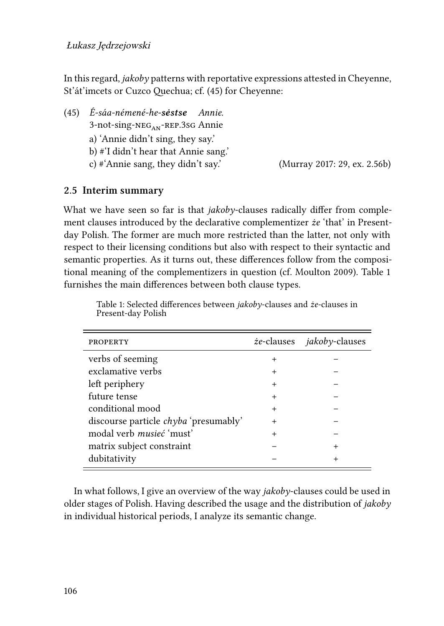In this regard, *jakoby* patterns with reportative expressions attested in Cheyenne, St'át'imcets or Cuzco Quechua; cf. [\(45](#page-21-0)) for Cheyenne:

<span id="page-21-0"></span>(45) *É-sáa-némené-he-sėstse Annie.* 3-not-sing-neg<sub>an</sub>-rep.3sg Annie a) 'Annie didn't sing, they say.' b) #'I didn't hear that Annie sang.' c) #'Annie sang, they didn't say.' [\(Murray 2017:](#page-43-9) 29, ex. 2.56b)

# **2.5 Interim summary**

What we have seen so far is that *jakoby*-clauses radically differ from complement clauses introduced by the declarative complementizer *że* 'that' in Presentday Polish. The former are much more restricted than the latter, not only with respect to their licensing conditions but also with respect to their syntactic and semantic properties. As it turns out, these differences follow from the compositional meaning of the complementizers in question (cf. [Moulton 2009](#page-43-4)). Table [1](#page-21-1) furnishes the main differences between both clause types.

<span id="page-21-1"></span>

| <b>PROPERTY</b>                              |        | <i>ie</i> -clauses <i>jakoby</i> -clauses |
|----------------------------------------------|--------|-------------------------------------------|
| verbs of seeming                             | $^{+}$ |                                           |
| exclamative verbs                            | $\div$ |                                           |
| left periphery                               | $^{+}$ |                                           |
| future tense                                 | $^{+}$ |                                           |
| conditional mood                             | $^+$   |                                           |
| discourse particle <i>chyba</i> 'presumably' | $^{+}$ |                                           |
| modal verb musieć 'must'                     | $^{+}$ |                                           |
| matrix subject constraint                    |        |                                           |
| dubitativity                                 |        |                                           |

Table 1: Selected differences between *jakoby*-clauses and *że*-clauses in Present-day Polish

In what follows, I give an overview of the way *jakoby*-clauses could be used in older stages of Polish. Having described the usage and the distribution of *jakoby* in individual historical periods, I analyze its semantic change.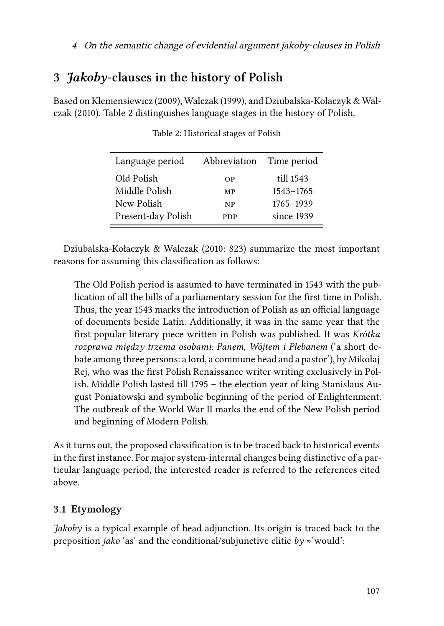# <span id="page-22-0"></span>**3** *Jakoby***-clauses in the history of Polish**

<span id="page-22-1"></span>Based on [Klemensiewicz \(2009\),](#page-42-11) [Walczak \(1999\)](#page-44-6), and [Dziubalska-Kołaczyk & Wal](#page-41-6)[czak \(2010\)](#page-41-6), Table [2](#page-22-1) distinguishes language stages in the history of Polish.

| Language period    | Abbreviation | Time period |
|--------------------|--------------|-------------|
| Old Polish         | OΡ           | till 1543   |
| Middle Polish      | MP           | 1543-1765   |
| New Polish         | <b>NP</b>    | 1765-1939   |
| Present-day Polish | PDP          | since 1939  |

Table 2: Historical stages of Polish

[Dziubalska-Kołaczyk & Walczak \(2010](#page-41-6): 823) summarize the most important reasons for assuming this classification as follows:

The Old Polish period is assumed to have terminated in 1543 with the publication of all the bills of a parliamentary session for the first time in Polish. Thus, the year 1543 marks the introduction of Polish as an official language of documents beside Latin. Additionally, it was in the same year that the first popular literary piece written in Polish was published. It was *Krótka rozprawa między trzema osobami: Panem, Wójtem i Plebanem* ('a short debate among three persons: a lord, a commune head and a pastor'), by Mikołaj Rej, who was the first Polish Renaissance writer writing exclusively in Polish. Middle Polish lasted till 1795 – the election year of king Stanislaus August Poniatowski and symbolic beginning of the period of Enlightenment. The outbreak of the World War II marks the end of the New Polish period and beginning of Modern Polish.

As it turns out, the proposed classification is to be traced back to historical events in the first instance. For major system-internal changes being distinctive of a particular language period, the interested reader is referred to the references cited above.

# **3.1 Etymology**

*Jakoby* is a typical example of head adjunction. Its origin is traced back to the preposition *jako* 'as' and the conditional/subjunctive clitic  $by \approx$  'would':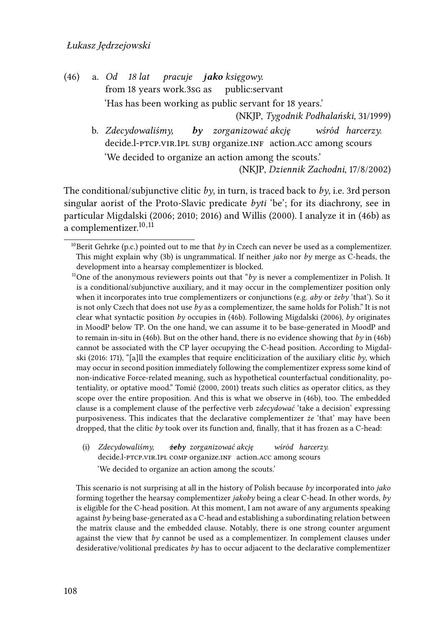(46) a. *Od* from 18 years work.3sg as *18 lat pracuje jako księgowy.* public:servant 'Has has been working as public servant for 18 years.'

(NKJP, *Tygodnik Podhalański*, 31/1999)

<span id="page-23-0"></span>b. *Zdecydowaliśmy,* decide.l-PTCP.VIR.1PL SUBJ organize.INF action.ACC among scours *by zorganizować akcję wśród harcerzy.* 'We decided to organize an action among the scouts.'

(NKJP, *Dziennik Zachodni*, 17/8/2002)

The conditional/subjunctive clitic  $b\mathbf{v}$ , in turn, is traced back to  $b\mathbf{v}$ , i.e. 3rd person singular aorist of the Proto-Slavic predicate *byti* 'be'; for its diachrony, see in particular [Migdalski](#page-43-2) ([2006;](#page-42-5) [2010](#page-42-6); [2016](#page-43-2)) and [Willis \(2000\).](#page-45-9) I analyze it in([46b](#page-23-0)) as a complementizer.[10](#page-23-1),[11](#page-23-2)

(i) *Zdecydowaliśmy,* decide.l-PTCP.VIR.1PL COMP organize.INF action.ACC among scours *żeby zorganizować akcję wśród harcerzy.* 'We decided to organize an action among the scouts.'

This scenario is not surprising at all in the history of Polish because *by* incorporated into *jako* forming together the hearsay complementizer *jakoby* being a clear C-head. In other words, *by* is eligible for the C-head position. At this moment, I am not aware of any arguments speaking against *by* being base-generated as a C-head and establishing a subordinating relation between the matrix clause and the embedded clause. Notably, there is one strong counter argument against the view that *by* cannot be used as a complementizer. In complement clauses under desiderative/volitional predicates *by* has to occur adjacent to the declarative complementizer

<span id="page-23-1"></span><sup>&</sup>lt;sup>10</sup>Berit Gehrke (p.c.) pointed out to me that *by* in Czech can never be used as a complementizer. This might explain why([3b](#page-2-1)) is ungrammatical. If neither *jako* nor *by* merge as C-heads, the development into a hearsay complementizer is blocked.

<span id="page-23-2"></span><sup>&</sup>lt;sup>11</sup>One of the anonymous reviewers points out that "by is never a complementizer in Polish. It is a conditional/subjunctive auxiliary, and it may occur in the complementizer position only when it incorporates into true complementizers or conjunctions (e.g. *aby* or *żeby* 'that'). So it is not only Czech that does not use *by* as a complementizer, the same holds for Polish." It is not clear what syntactic position *by* occupies in [\(46b](#page-23-0)). Following [Migdalski \(2006\),](#page-42-5) *by* originates in MoodP below TP. On the one hand, we can assume it to be base-generated in MoodP and to remain in-situ in([46b\)](#page-23-0). But on the other hand, there is no evidence showing that *by* in([46b\)](#page-23-0) cannot be associated with the CP layer occupying the C-head position. According to [Migdal](#page-43-2)[ski \(2016:](#page-43-2) 171), "[a]ll the examples that require encliticization of the auxiliary clitic *by*, which may occur in second position immediately following the complementizer express some kind of non-indicative Force-related meaning, such as hypothetical counterfactual conditionality, potentiality, or optative mood." [Tomić](#page-44-7) [\(2000,](#page-44-8) [2001\)](#page-44-7) treats such clitics as operator clitics, as they scope over the entire proposition. And this is what we observe in([46b\)](#page-23-0), too. The embedded clause is a complement clause of the perfective verb *zdecydować* 'take a decision' expressing purposiveness. This indicates that the declarative complementizer *że* 'that' may have been dropped, that the clitic *by* took over its function and, finally, that it has frozen as a C-head: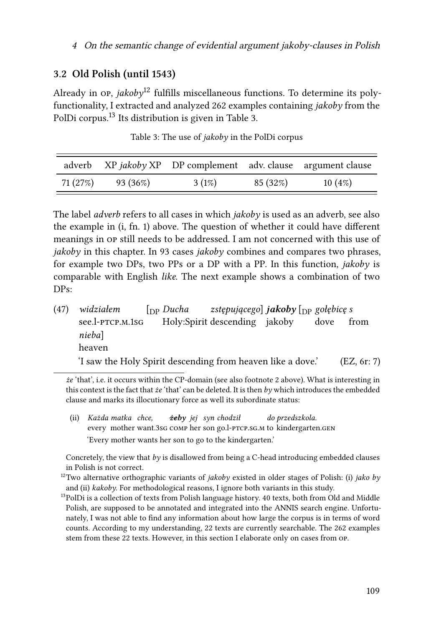#### **3.2 Old Polish (until 1543)**

Already in  $\Omega$ <sub>r</sub>, *jakoby*<sup>[12](#page-24-0)</sup> fulfills miscellaneous functions. To determine its polyfunctionality, I extracted and analyzed 262 examples containing *jakoby* from the PolDi corpus.<sup>[13](#page-24-1)</sup> Its distribution is given in Table [3.](#page-24-2)

<span id="page-24-2"></span>

|          |          | adverb XP jakoby XP DP complement adv. clause argument clause |          |        |
|----------|----------|---------------------------------------------------------------|----------|--------|
| 71 (27%) | 93 (36%) | $3(1\%)$                                                      | 85 (32%) | 10(4%) |

Table 3: The use of *jakoby* in the PolDi corpus

The label *adverb* refers to all cases in which *jakoby* is used as an adverb, see also the example in([i,](#page-1-3) fn. [1](#page-1-1)) above. The question of whether it could have different meanings in op still needs to be addressed. I am not concerned with this use of *jakoby* in this chapter. In 93 cases *jakoby* combines and compares two phrases, for example two DPs, two PPs or a DP with a PP. In this function, *jakoby* is comparable with English *like*. The next example shows a combination of two DPs:

(47) *widziałem* see.l-ptcp.m.1sg [DP *Ducha* Holy:Spirit descending jakoby *zstępującego*] *jakoby* [DP *gołębicę s* dove from *nieba*] heaven 'I saw the Holy Spirit descending from heaven like a dove.' (EZ, 6r: 7)

*że* 'that', i.e. it occurs within the CP-domain (see also footnote 2 above). What is interesting in this context is the fact that *że* 'that' can be deleted. It is then *by* which introduces the embedded clause and marks its illocutionary force as well its subordinate status:

(ii) *Każda matka chce,* every mother want.3sg comp her son go.l-PTCP.sg.m to kindergarten.gen *żeby jej syn chodził do przedszkola.* 'Every mother wants her son to go to the kindergarten.'

Concretely, the view that *by* is disallowed from being a C-head introducing embedded clauses in Polish is not correct.

<span id="page-24-0"></span><sup>12</sup>Two alternative orthographic variants of *jakoby* existed in older stages of Polish: (i) *jako by* and (ii) *kakoby*. For methodological reasons, I ignore both variants in this study.

<span id="page-24-1"></span><sup>&</sup>lt;sup>13</sup>PolDi is a collection of texts from Polish language history. 40 texts, both from Old and Middle Polish, are supposed to be annotated and integrated into the ANNIS search engine. Unfortunately, I was not able to find any information about how large the corpus is in terms of word counts. According to my understanding, 22 texts are currently searchable. The 262 examples stem from these 22 texts. However, in this section I elaborate only on cases from op.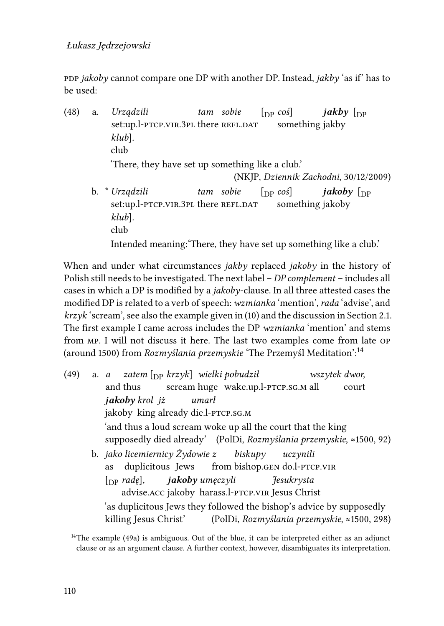## Łukasz Jędrzejowski

ppp *jakoby* cannot compare one DP with another DP. Instead, *jakby* 'as if' has to be used:

(48) a. *Urządzili* set:up.l-ptcp.vir.3pl there refl.dat *tam sobie*  $\lceil$ <sub>DP</sub>  $\cos$ <sup> $\lceil$ </sup> something jakby *jakby* [DP *klub*]*.* club 'There, they have set up something like a club.' (NKJP, *Dziennik Zachodni*, 30/12/2009) b. \* *Urządzili* set:up.l-ptcp.vir.3pl there refl.dat *tam sobie*  $\lceil$ <sub>DP</sub>  $\cos$ <sup>3</sup> something jakoby *jakoby* [DP *klub*]*.* club Intended meaning:'There, they have set up something like a club.'

When and under what circumstances *jakby* replaced *jakoby* in the history of Polish still needs to be investigated. The next label – *DP complement* – includes all cases in which a DP is modified by a *jakoby*-clause. In all three attested cases the modified DP is related to a verb of speech: *wzmianka* 'mention', *rada* 'advise', and *krzyk* 'scream', see also the example given in([10](#page-6-0)) and the discussion in Section [2.1](#page-3-2). The first example I came across includes the DP *wzmianka* 'mention' and stems from mp. I will not discuss it here. The last two examples come from late op (around 1500) from *Rozmyślania przemyskie* 'The Przemyśl Meditation':[14](#page-25-0)

<span id="page-25-1"></span>(49) a. *a* and thus *zatem* [DP *krzyk*] *wielki pobudził* scream huge wake.up.l-PTCP.SG.M all *wszytek dwor,* court *jakoby krol jż* jakoby king already die.l-ptcp.sg.m *umarł* 'and thus a loud scream woke up all the court that the king supposedly died already' (PolDi, *Rozmyślania przemyskie*, ≈1500, 92) b. *jako licemiernicy Żydowie z* as duplicitous Jews from bishop.gen do.l-ptcp.vir *biskupy uczynili* [DP *radę*]*,* advise.acc jakoby harass.l-ptcp.vir Jesus Christ *jakoby umęczyli Jesukrysta* 'as duplicitous Jews they followed the bishop's advice by supposedly killing Jesus Christ' (PolDi, *Rozmyślania przemyskie*, ≈1500, 298)

<span id="page-25-0"></span><sup>&</sup>lt;sup>14</sup>The example [\(49a\)](#page-25-1) is ambiguous. Out of the blue, it can be interpreted either as an adjunct clause or as an argument clause. A further context, however, disambiguates its interpretation.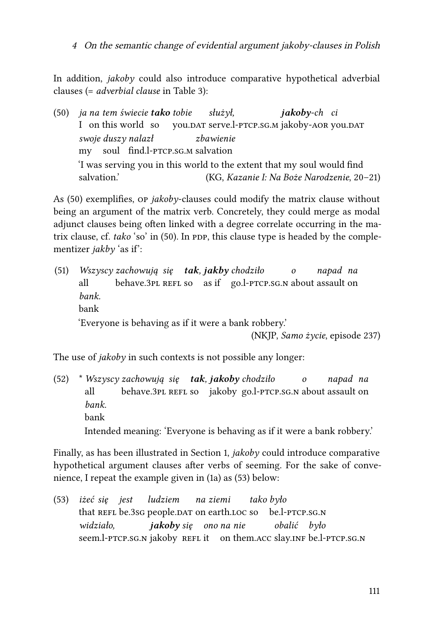In addition, *jakoby* could also introduce comparative hypothetical adverbial clauses (= *adverbial clause* in Table [3](#page-24-2)):

<span id="page-26-0"></span>(50) *ja na tem świecie tako tobie* I on this world so you.<code>DAT</code> serve.l-<code>ptcp.sg.m</code> jakoby-<code>aor</code> you.<code>DAT</code> *służył, jakoby-ch ci swoje duszy nalazł* my soul find.l-ptcp.sg.m salvation *zbawienie* 'I was serving you in this world to the extent that my soul would find salvation.' (KG, *Kazanie I: Na Boże Narodzenie*, 20–21)

As [\(50\)](#page-26-0) exemplifies, op *jakoby*-clauses could modify the matrix clause without being an argument of the matrix verb. Concretely, they could merge as modal adjunct clauses being often linked with a degree correlate occurring in the matrixclause, cf. *tako* 'so' in ([50](#page-26-0)). In PDP, this clause type is headed by the complementizer *jakby* 'as if':

(51) *Wszyscy zachowują się tak, jakby chodziło* all behave.3PL REFL so as if go.l-PTCP.sG.N about assault on *o napad na bank.* bank 'Everyone is behaving as if it were a bank robbery.' (NKJP, *Samo życie*, episode 237)

The use of *jakoby* in such contexts is not possible any longer:

(52) \* *Wszyscy zachowują się tak, jakoby chodziło* all behave.3PL REFL so jakoby go.l-PTCP.SG.N about assault on *o napad na bank.* bank Intended meaning: 'Everyone is behaving as if it were a bank robbery.'

Finally, as has been illustrated in Section [1,](#page-0-1) *jakoby* could introduce comparative hypothetical argument clauses after verbs of seeming. For the sake of convenience, I repeat the example given in([1a\)](#page-0-0) as([53\)](#page-26-1) below:

<span id="page-26-1"></span>(53) *iżeć* that REFL be.3sG people.DAT on earth.LOC so be.l-PTCP.SG.N *się jest ludziem na ziemi tako było widziało,* seem.l-PTCP.SG.N jakoby REFL it on them.ACC slay.INF be.l-PTCP.SG.N *jakoby się ono na nie obalić było*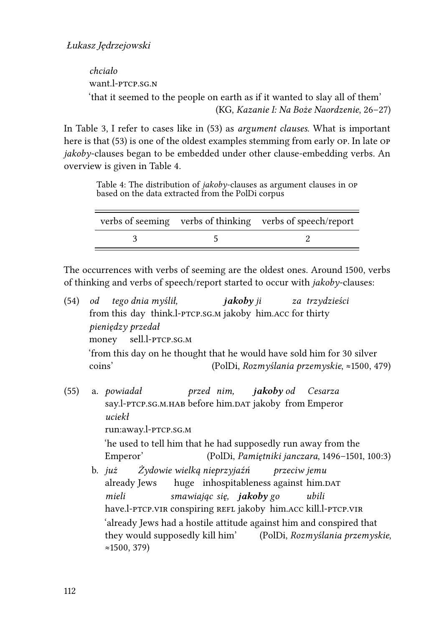*chciało* want l-ptcp sq. N. 'that it seemed to the people on earth as if it wanted to slay all of them' (KG, *Kazanie I: Na Boże Naordzenie*, 26–27)

In Table [3](#page-24-2), I refer to cases like in [\(53](#page-26-1)) as *argument clauses*. What is important here is that([53\)](#page-26-1) is one of the oldest examples stemming from early op. In late op *jakoby*-clauses began to be embedded under other clause-embedding verbs. An overview is given in Table [4](#page-27-0).

Table 4: The distribution of *jakoby*-clauses as argument clauses in op based on the data extracted from the PolDi corpus

<span id="page-27-0"></span>

|  | verbs of seeming verbs of thinking verbs of speech/report |
|--|-----------------------------------------------------------|
|  |                                                           |

The occurrences with verbs of seeming are the oldest ones. Around 1500, verbs of thinking and verbs of speech/report started to occur with *jakoby*-clauses:

- (54) *od* from this day think.l-ptcp.sg.m jakoby him.acc for thirty *tego dnia myślił, jakoby ji za trzydzieści pieniędzy przedał* money sell.l-PTCP.SG.M 'from this day on he thought that he would have sold him for 30 silver coins' (PolDi, *Rozmyślania przemyskie*, ≈1500, 479)
- <span id="page-27-2"></span><span id="page-27-1"></span>(55) a. *powiadał* say.l-PTCP.SG.M.HAB before him.DAT jakoby from Emperor *przed nim, jakoby od Cesarza uciekł* run:away.l-ptcp.sg.m 'he used to tell him that he had supposedly run away from the Emperor' (PolDi, *Pamiętniki janczara*, 1496–1501, 100:3) b. *już* already Jews *Żydowie wielką nieprzyjaźń* huge inhospitableness against him.DAT *przeciw jemu mieli smawiając się, jakoby go ubili*
	- have.l-PTCP.vIR conspiring REFL jakoby him.ACC kill.l-PTCP.vIR 'already Jews had a hostile attitude against him and conspired that they would supposedly kill him' (PolDi, *Rozmyślania przemyskie*, ≈1500, 379)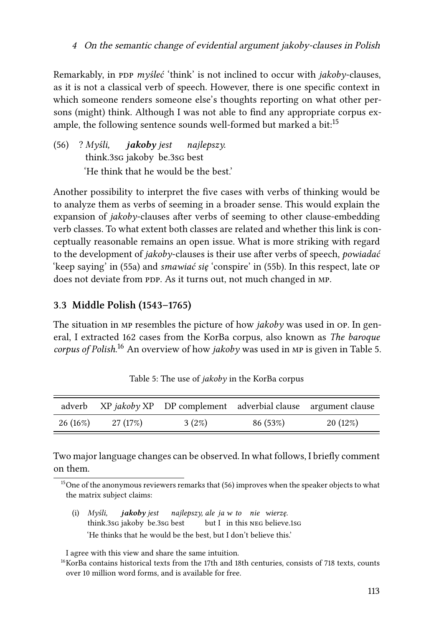Remarkably, in PDP *myśleć* 'think' is not inclined to occur with *jakoby*-clauses, as it is not a classical verb of speech. However, there is one specific context in which someone renders someone else's thoughts reporting on what other persons (might) think. Although I was not able to find any appropriate corpus example, the following sentence sounds well-formed but marked a bit: $15$ 

<span id="page-28-3"></span>(56) ? *Myśli,* think.3sg jakoby be.3sg best *jakoby jest najlepszy.* 'He think that he would be the best.'

Another possibility to interpret the five cases with verbs of thinking would be to analyze them as verbs of seeming in a broader sense. This would explain the expansion of *jakoby*-clauses after verbs of seeming to other clause-embedding verb classes. To what extent both classes are related and whether this link is conceptually reasonable remains an open issue. What is more striking with regard to the development of *jakoby*-clauses is their use after verbs of speech, *powiadać* 'keep saying' in([55a\)](#page-27-1) and *smawiać się* 'conspire' in [\(55b](#page-27-2)). In this respect, late op does not deviate from PDP. As it turns out, not much changed in MP.

# **3.3 Middle Polish (1543–1765)**

The situation in mp resembles the picture of how *jakoby* was used in op. In general, I extracted 162 cases from the KorBa corpus, also known as *The baroque corpus of Polish*. [16](#page-28-1) An overview of how *jakoby* was used in mp is given in Table [5.](#page-28-2)

<span id="page-28-2"></span>

|            |          | adverb XP jakoby XP DP complement adverbial clause argument clause |          |         |
|------------|----------|--------------------------------------------------------------------|----------|---------|
| $26(16\%)$ | 27 (17%) | $3(2\%)$                                                           | 86 (53%) | 20(12%) |

Table 5: The use of *jakoby* in the KorBa corpus

Two major language changes can be observed. In what follows, I briefly comment on them.

(i) *Myśli,* think.3sg jakoby be.3sg best *jakoby jest najlepszy, ale ja w to nie wierzę.* but I in this NEG believe.1sG 'He thinks that he would be the best, but I don't believe this.'

I agree with this view and share the same intuition.

<span id="page-28-0"></span><sup>&</sup>lt;sup>15</sup>Oneof the anonymous reviewers remarks that  $(56)$  $(56)$  improves when the speaker objects to what the matrix subject claims:

<span id="page-28-1"></span> $16$ KorBa contains historical texts from the 17th and 18th centuries, consists of 718 texts, counts over 10 million word forms, and is available for free.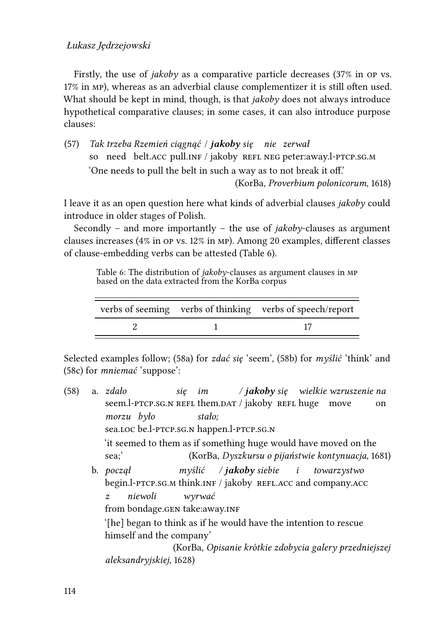#### Łukasz Jędrzejowski

Firstly, the use of *jakoby* as a comparative particle decreases (37% in op vs. 17% in mp), whereas as an adverbial clause complementizer it is still often used. What should be kept in mind, though, is that *jakoby* does not always introduce hypothetical comparative clauses; in some cases, it can also introduce purpose clauses:

(57) *Tak trzeba Rzemień ciągnąć* / *jakoby się nie zerwał* so) need belt.acc pull.inf / jakoby REFL NEG peter:away.l-PTCP.sG.M 'One needs to pull the belt in such a way as to not break it off.' (KorBa, *Proverbium polonicorum*, 1618)

I leave it as an open question here what kinds of adverbial clauses *jakoby* could introduce in older stages of Polish.

Secondly – and more importantly – the use of *jakoby*-clauses as argument clauses increases (4% in op vs. 12% in mp). Among 20 examples, different classes of clause-embedding verbs can be attested (Table [6](#page-29-0)).

Table 6: The distribution of *jakoby*-clauses as argument clauses in mp based on the data extracted from the KorBa corpus

<span id="page-29-0"></span>

|  | verbs of seeming verbs of thinking verbs of speech/report |
|--|-----------------------------------------------------------|
|  |                                                           |

Selected examples follow; [\(58a\)](#page-29-1) for *zdać się* 'seem', [\(58b\)](#page-29-2) for *myślić* 'think' and [\(58c](#page-30-0)) for *mniemać* 'suppose':

<span id="page-29-2"></span><span id="page-29-1"></span>(58) a. *zdało* seem.l-PTCP.SG.N REFL them.DAT / jakoby REFL huge move *się im / jakoby się wielkie wzruszenie na* on *morzu było* sea.loc be.l-ptcp.sg.n happen.l-ptcp.sg.n *stało;* 'it seemed to them as if something huge would have moved on the sea;' (KorBa, *Dyszkursu o pijaństwie kontynuacja*, 1681) b. *począł* begin.l-PTCP.SG.M think.INF / jakoby REFL.ACC and company.ACC *myślić / jakoby siebie i towarzystwo z* from bondage.gen take:away.inf *niewoli wyrwać* '[he] began to think as if he would have the intention to rescue himself and the company' (KorBa, *Opisanie krótkie zdobycia galery przedniejszej aleksandryjskiej*, 1628)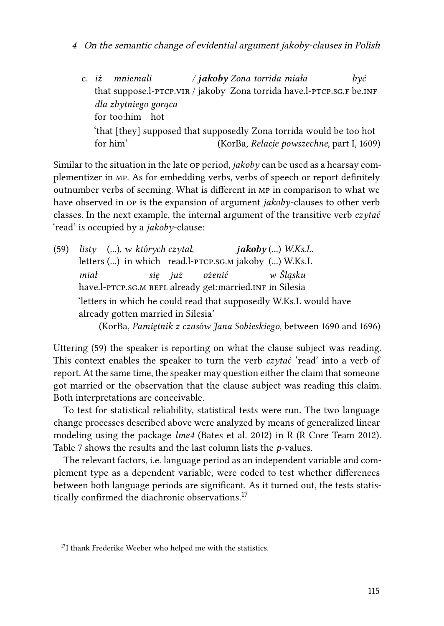<span id="page-30-0"></span>c. *iż* that suppose.l-PTCP.VIR / jakoby Zona torrida have.l-PTCP.sG.F be.INF *mniemali / jakoby Zona torrida miała być dla zbytniego gorąca* for too:him hot 'that [they] supposed that supposedly Zona torrida would be too hot for him' (KorBa, *Relacje powszechne*, part I, 1609)

Similar to the situation in the late op period, *jakoby* can be used as a hearsay complementizer in mp. As for embedding verbs, verbs of speech or report definitely outnumber verbs of seeming. What is different in mp in comparison to what we have observed in op is the expansion of argument *jakoby*-clauses to other verb classes. In the next example, the internal argument of the transitive verb *czytać* 'read' is occupied by a *jakoby*-clause:

<span id="page-30-1"></span>(59) *listy* (...)*, w których czytał,* letters (...) in which read.l-PTCP.sG.m jakoby (...) W.Ks.L *jakoby* (...) *W.Ks.L. miał* have.l-PTCP.SG.M REFL already get:married.ɪNF in Silesia *się już ożenić w Śląsku* 'letters in which he could read that supposedly W.Ks.L would have already gotten married in Silesia' (KorBa, *Pamiętnik z czasów Jana Sobieskiego*, between 1690 and 1696)

Uttering [\(59\)](#page-30-1) the speaker is reporting on what the clause subject was reading. This context enables the speaker to turn the verb *czytać* 'read' into a verb of report. At the same time, the speaker may question either the claim that someone got married or the observation that the clause subject was reading this claim. Both interpretations are conceivable.

To test for statistical reliability, statistical tests were run. The two language change processes described above were analyzed by means of generalized linear modeling using the package *lme4* [\(Bates et al. 2012\)](#page-40-9) in R [\(R Core Team 2012](#page-43-10)). Table [7](#page-31-0) shows the results and the last column lists the *p*-values.

The relevant factors, i.e. language period as an independent variable and complement type as a dependent variable, were coded to test whether differences between both language periods are significant. As it turned out, the tests statis-tically confirmed the diachronic observations.<sup>[17](#page-30-2)</sup>

<span id="page-30-2"></span><sup>&</sup>lt;sup>17</sup>I thank Frederike Weeber who helped me with the statistics.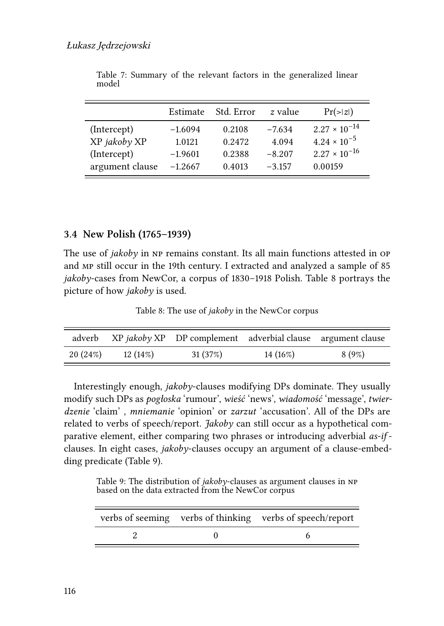<span id="page-31-0"></span>

|                 | Estimate  | Std. Error | z value  | $Pr(\ge  z )$          |
|-----------------|-----------|------------|----------|------------------------|
| (Intercept)     | $-1.6094$ | 0.2108     | $-7.634$ | $2.27 \times 10^{-14}$ |
| XP jakoby XP    | 1.0121    | 0.2472     | 4.094    | $4.24 \times 10^{-5}$  |
| (Intercept)     | $-1.9601$ | 0.2388     | $-8.207$ | $2.27 \times 10^{-16}$ |
| argument clause | $-1.2667$ | 0.4013     | $-3.157$ | 0.00159                |

Table 7: Summary of the relevant factors in the generalized linear model

#### **3.4 New Polish (1765–1939)**

The use of *jakoby* in NP remains constant. Its all main functions attested in OP and mp still occur in the 19th century. I extracted and analyzed a sample of 85 *jakoby*-cases from NewCor, a corpus of 1830–1918 Polish. Table [8](#page-31-1) portrays the picture of how *jakoby* is used.

Table 8: The use of *jakoby* in the NewCor corpus

<span id="page-31-1"></span>

|          |            | adverb XP jakoby XP DP complement adverbial clause argument clause |          |          |
|----------|------------|--------------------------------------------------------------------|----------|----------|
| 20 (24%) | $12(14\%)$ | 31(37%)                                                            | 14 (16%) | $8(9\%)$ |

Interestingly enough, *jakoby*-clauses modifying DPs dominate. They usually modify such DPs as *pogłoska* 'rumour', *wieść* 'news', *wiadomość* 'message', *twierdzenie* 'claim' , *mniemanie* 'opinion' or *zarzut* 'accusation'. All of the DPs are related to verbs of speech/report. *Jakoby* can still occur as a hypothetical comparative element, either comparing two phrases or introducing adverbial *as-if* clauses. In eight cases, *jakoby*-clauses occupy an argument of a clause-embedding predicate (Table [9](#page-31-2)).

Table 9: The distribution of *jakoby*-clauses as argument clauses in np based on the data extracted from the NewCor corpus

<span id="page-31-2"></span>

|  | verbs of seeming verbs of thinking verbs of speech/report |
|--|-----------------------------------------------------------|
|  |                                                           |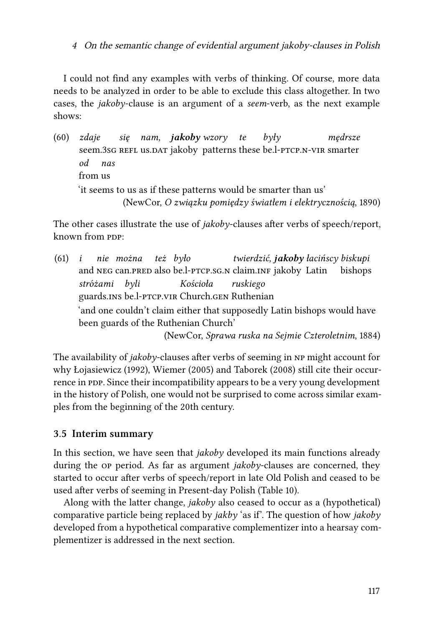I could not find any examples with verbs of thinking. Of course, more data needs to be analyzed in order to be able to exclude this class altogether. In two cases, the *jakoby*-clause is an argument of a *seem*-verb, as the next example shows:

(60) *zdaje* seem.3sG REFL us.DAT jakoby patterns these be.l-PTCP.N-VIR smarter *się nam, jakoby wzory te były mędrsze od* from us *nas* 'it seems to us as if these patterns would be smarter than us' (NewCor, *O związku pomiędzy światłem i elektrycznością*, 1890)

The other cases illustrate the use of *jakoby*-clauses after verbs of speech/report, known from PDP:

(61) *i* and NEG can.PRED also be.l-PTCP.SG.N claim.INF jakoby Latin *nie można też było twierdzić, jakoby łacińscy biskupi* bishops *stróżami byli* guards.ins be.l-ptcp.vir Church.gen Ruthenian *Kościoła ruskiego* 'and one couldn't claim either that supposedly Latin bishops would have been guards of the Ruthenian Church' (NewCor, *Sprawa ruska na Sejmie Czteroletnim*, 1884)

The availability of *jakoby*-clauses after verbs of seeming in np might account for why [Łojasiewicz \(1992\),](#page-42-8) [Wiemer \(2005\)](#page-45-6) and [Taborek \(2008\)](#page-44-5) still cite their occurrence in PDP. Since their incompatibility appears to be a very young development in the history of Polish, one would not be surprised to come across similar examples from the beginning of the 20th century.

## **3.5 Interim summary**

In this section, we have seen that *jakoby* developed its main functions already during the op period. As far as argument *jakoby*-clauses are concerned, they started to occur after verbs of speech/report in late Old Polish and ceased to be used after verbs of seeming in Present-day Polish (Table [10](#page-33-1)).

Along with the latter change, *jakoby* also ceased to occur as a (hypothetical) comparative particle being replaced by *jakby* 'as if'. The question of how *jakoby* developed from a hypothetical comparative complementizer into a hearsay complementizer is addressed in the next section.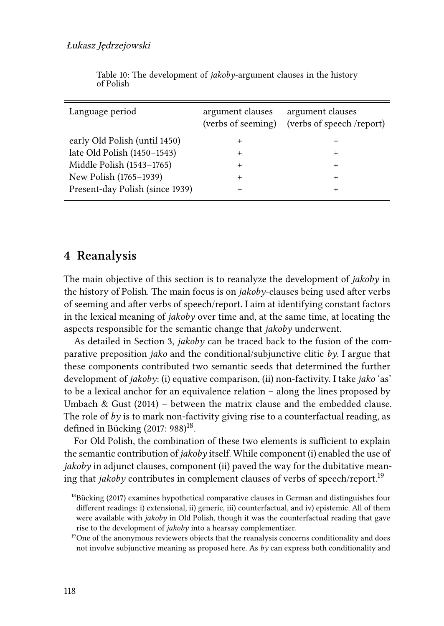<span id="page-33-1"></span>

| Language period                 | argument clauses<br>(verbs of seeming) | argument clauses<br>(verbs of speech /report) |
|---------------------------------|----------------------------------------|-----------------------------------------------|
| early Old Polish (until 1450)   | +                                      |                                               |
| late Old Polish (1450-1543)     |                                        | $\pm$                                         |
| Middle Polish (1543-1765)       | +                                      | $\ddot{}$                                     |
| New Polish (1765-1939)          |                                        | +                                             |
| Present-day Polish (since 1939) |                                        | $^+$                                          |

Table 10: The development of *jakoby*-argument clauses in the history of Polish

# <span id="page-33-0"></span>**4 Reanalysis**

The main objective of this section is to reanalyze the development of *jakoby* in the history of Polish. The main focus is on *jakoby*-clauses being used after verbs of seeming and after verbs of speech/report. I aim at identifying constant factors in the lexical meaning of *jakoby* over time and, at the same time, at locating the aspects responsible for the semantic change that *jakoby* underwent.

As detailed in Section [3,](#page-22-0) *jakoby* can be traced back to the fusion of the comparative preposition *jako* and the conditional/subjunctive clitic  $b\gamma$ . I argue that these components contributed two semantic seeds that determined the further development of *jakoby*: (i) equative comparison, (ii) non-factivity. I take *jako* 'as' to be a lexical anchor for an equivalence relation – along the lines proposed by Umbach & Gust  $(2014)$  – between the matrix clause and the embedded clause. The role of  $by$  is to mark non-factivity giving rise to a counterfactual reading, as defined in Bücking  $(2017:988)^{18}$  $(2017:988)^{18}$  $(2017:988)^{18}$ .

For Old Polish, the combination of these two elements is sufficient to explain the semantic contribution of *jakoby* itself. While component (i) enabled the use of *jakoby* in adjunct clauses, component (ii) paved the way for the dubitative meaning that *jakoby* contributes in complement clauses of verbs of speech/report.[19](#page-33-3)

<span id="page-33-2"></span><sup>&</sup>lt;sup>18</sup>[Bücking \(2017\)](#page-40-10) examines hypothetical comparative clauses in German and distinguishes four different readings: i) extensional, ii) generic, iii) counterfactual, and iv) epistemic. All of them were available with *jakoby* in Old Polish, though it was the counterfactual reading that gave rise to the development of *jakoby* into a hearsay complementizer.

<span id="page-33-3"></span> $19$ One of the anonymous reviewers objects that the reanalysis concerns conditionality and does not involve subjunctive meaning as proposed here. As *by* can express both conditionality and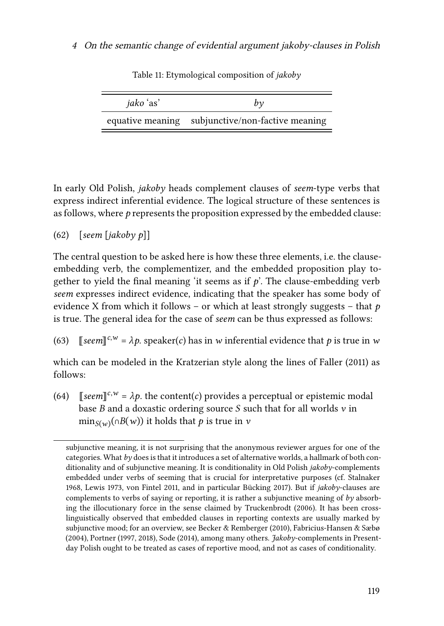| <i>jako</i> 'as' |                                                  |
|------------------|--------------------------------------------------|
|                  | equative meaning subjunctive/non-factive meaning |

Table 11: Etymological composition of *jakoby*

In early Old Polish, *jakoby* heads complement clauses of *seem*-type verbs that express indirect inferential evidence. The logical structure of these sentences is as follows, where *p* represents the proposition expressed by the embedded clause:

## (62) [*seem* [*jakoby p*]]

The central question to be asked here is how these three elements, i.e. the clauseembedding verb, the complementizer, and the embedded proposition play together to yield the final meaning 'it seems as if  $p$ '. The clause-embedding verb *seem* expresses indirect evidence, indicating that the speaker has some body of evidence X from which it follows – or which at least strongly suggests – that *p* is true. The general idea for the case of *seem* can be thus expressed as follows:

(63)  $\left[ \mathbb{S}eem \right]^{c,w} = \lambda p$ . speaker(c) has in w inferential evidence that p is true in w

which can be modeled in the Kratzerian style along the lines of [Faller \(2011\)](#page-41-1) as follows:

(64)  $\left[\text{seem}\right]^{c,w} = \lambda p$  the content(c) provides a perceptual or epistemic modal base  $B$  and a doxastic ordering source  $S$  such that for all worlds  $v$  in min<sub>S(w)</sub>(∩ $B(w)$ ) it holds that  $p$  is true in  $v$ 

subjunctive meaning, it is not surprising that the anonymous reviewer argues for one of the categories. What *by* does is that it introduces a set of alternative worlds, a hallmark of both conditionality and of subjunctive meaning. It is conditionality in Old Polish *jakoby*-complements embedded under verbs of seeming that is crucial for interpretative purposes (cf. [Stalnaker](#page-43-11) [1968](#page-43-11), [Lewis 1973](#page-42-12), [von Fintel 2011](#page-44-10), and in particular [Bücking 2017\)](#page-40-10). But if *jakoby*-clauses are complements to verbs of saying or reporting, it is rather a subjunctive meaning of *by* absorbing the illocutionary force in the sense claimed by [Truckenbrodt \(2006\)](#page-44-11). It has been crosslinguistically observed that embedded clauses in reporting contexts are usually marked by subjunctive mood; for an overview, see [Becker & Remberger \(2010\),](#page-40-11) [Fabricius-Hansen & Sæbø](#page-41-7) [\(2004\)](#page-41-7), [Portner](#page-43-12) ([1997](#page-43-12), [2018](#page-43-13)), [Sode \(2014\)](#page-43-14), among many others. *Jakoby*-complements in Presentday Polish ought to be treated as cases of reportive mood, and not as cases of conditionality.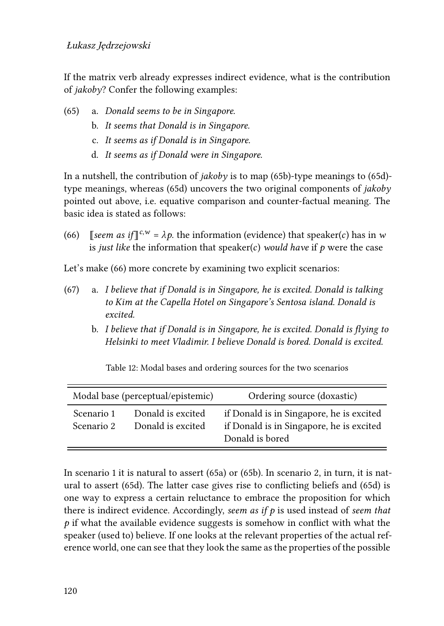#### Łukasz Jędrzejowski

If the matrix verb already expresses indirect evidence, what is the contribution of *jakoby*? Confer the following examples:

- <span id="page-35-3"></span><span id="page-35-0"></span>(65) a. *Donald seems to be in Singapore.*
	- b. *It seems that Donald is in Singapore.*
	- c. *It seems as if Donald is in Singapore.*
	- d. *It seems as if Donald were in Singapore.*

<span id="page-35-1"></span>In a nutshell, the contribution of *jakoby* is to map [\(65b\)](#page-35-0)-type meanings to [\(65d\)](#page-35-1) type meanings, whereas [\(65d\)](#page-35-1) uncovers the two original components of *jakoby* pointed out above, i.e. equative comparison and counter-factual meaning. The basic idea is stated as follows:

<span id="page-35-2"></span>(66) [*seem as if*  $\int_0^{c,w} = \lambda p$ . the information (evidence) that speaker(*c*) has in w is *just like* the information that speaker(c) *would have* if  $p$  were the case

Let's make [\(66\)](#page-35-2) more concrete by examining two explicit scenarios:

- (67) a. *I believe that if Donald is in Singapore, he is excited. Donald is talking to Kim at the Capella Hotel on Singapore's Sentosa island. Donald is excited.*
	- b. *I believe that if Donald is in Singapore, he is excited. Donald is flying to Helsinki to meet Vladimir. I believe Donald is bored. Donald is excited.*

Table 12: Modal bases and ordering sources for the two scenarios

|                          | Modal base (perceptual/epistemic)      | Ordering source (doxastic)                                                                              |
|--------------------------|----------------------------------------|---------------------------------------------------------------------------------------------------------|
| Scenario 1<br>Scenario 2 | Donald is excited<br>Donald is excited | if Donald is in Singapore, he is excited<br>if Donald is in Singapore, he is excited<br>Donald is bored |

In scenario 1 it is natural to assert [\(65a](#page-35-3)) or [\(65b\)](#page-35-0). In scenario 2, in turn, it is natural to assert [\(65d](#page-35-1)). The latter case gives rise to conflicting beliefs and [\(65d\)](#page-35-1) is one way to express a certain reluctance to embrace the proposition for which there is indirect evidence. Accordingly, *seem as if p* is used instead of *seem that p* if what the available evidence suggests is somehow in conflict with what the speaker (used to) believe. If one looks at the relevant properties of the actual reference world, one can see that they look the same as the properties of the possible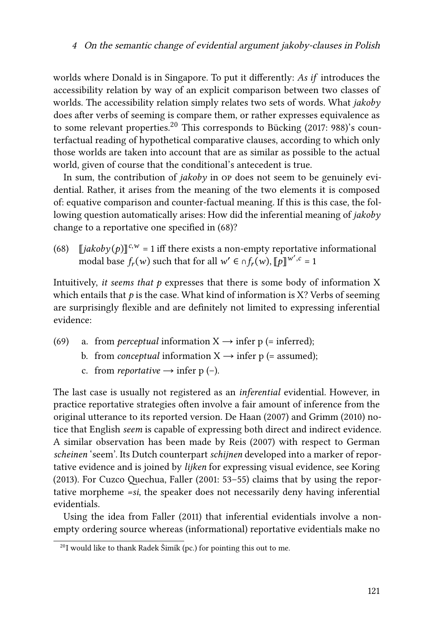worlds where Donald is in Singapore. To put it differently: *As if* introduces the accessibility relation by way of an explicit comparison between two classes of worlds. The accessibility relation simply relates two sets of words. What *jakoby* does after verbs of seeming is compare them, or rather expresses equivalence as to some relevant properties.<sup>[20](#page-36-0)</sup> This corresponds to [Bücking \(2017](#page-40-10): 988)'s counterfactual reading of hypothetical comparative clauses, according to which only those worlds are taken into account that are as similar as possible to the actual world, given of course that the conditional's antecedent is true.

In sum, the contribution of *jakoby* in op does not seem to be genuinely evidential. Rather, it arises from the meaning of the two elements it is composed of: equative comparison and counter-factual meaning. If this is this case, the following question automatically arises: How did the inferential meaning of *jakoby* change to a reportative one specified in([68\)](#page-36-1)?

<span id="page-36-1"></span>(68)  $\left[ \frac{\partial^2 u}{\partial x^2} \right] \left[ \frac{\partial^2 u}{\partial y^2} \right]^{1/2} = 1$  iff there exists a non-empty reportative informational modal base  $f_r(w)$  such that for all  $w' \in \bigcap_{r=1}^r (w)$ ,  $[\![p]\!]^{w', c} = 1$ 

Intuitively, *it seems that p* expresses that there is some body of information X which entails that  $p$  is the case. What kind of information is X? Verbs of seeming are surprisingly flexible and are definitely not limited to expressing inferential evidence:

- (69) a. from *perceptual* information  $X \rightarrow$  infer p (= inferred);
	- b. from *conceptual* information  $X \rightarrow$  infer p (= assumed);
	- c. from *reportative*  $\rightarrow$  infer p (–).

The last case is usually not registered as an *inferential* evidential. However, in practice reportative strategies often involve a fair amount of inference from the original utterance to its reported version. [De Haan \(2007\)](#page-41-8) and [Grimm \(2010\)](#page-41-9) notice that English *seem* is capable of expressing both direct and indirect evidence. A similar observation has been made by [Reis \(2007\)](#page-43-15) with respect to German *scheinen* 'seem'. Its Dutch counterpart *schijnen* developed into a marker of reportative evidence and is joined by *lijken* for expressing visual evidence, see [Koring](#page-42-13) [\(2013\).](#page-42-13) For Cuzco Quechua, [Faller \(2001:](#page-41-10) 53–55) claims that by using the reportative morpheme *=si*, the speaker does not necessarily deny having inferential evidentials.

Using the idea from [Faller \(2011\)](#page-41-1) that inferential evidentials involve a nonempty ordering source whereas (informational) reportative evidentials make no

<span id="page-36-0"></span> $^{20}$ I would like to thank Radek Šimík (pc.) for pointing this out to me.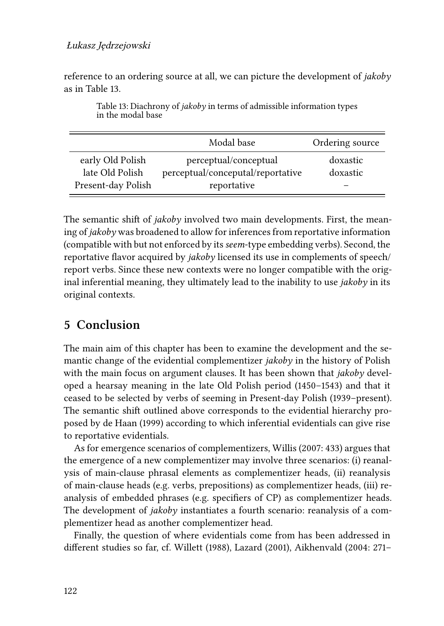#### Łukasz Jędrzejowski

reference to an ordering source at all, we can picture the development of *jakoby* as in Table [13.](#page-37-1)

<span id="page-37-1"></span>

|                                                           | Modal base                                                                | Ordering source      |
|-----------------------------------------------------------|---------------------------------------------------------------------------|----------------------|
| early Old Polish<br>late Old Polish<br>Present-day Polish | perceptual/conceptual<br>perceptual/conceputal/reportative<br>reportative | doxastic<br>doxastic |

Table 13: Diachrony of *jakoby* in terms of admissible information types in the modal base

The semantic shift of *jakoby* involved two main developments. First, the meaning of *jakoby* was broadened to allow for inferences from reportative information (compatible with but not enforced by its*seem*-type embedding verbs). Second, the reportative flavor acquired by *jakoby* licensed its use in complements of speech/ report verbs. Since these new contexts were no longer compatible with the original inferential meaning, they ultimately lead to the inability to use *jakoby* in its original contexts.

# <span id="page-37-0"></span>**5 Conclusion**

The main aim of this chapter has been to examine the development and the semantic change of the evidential complementizer *jakoby* in the history of Polish with the main focus on argument clauses. It has been shown that *jakoby* developed a hearsay meaning in the late Old Polish period (1450–1543) and that it ceased to be selected by verbs of seeming in Present-day Polish (1939–present). The semantic shift outlined above corresponds to the evidential hierarchy proposed by [de Haan \(1999\)](#page-41-11) according to which inferential evidentials can give rise to reportative evidentials.

As for emergence scenarios of complementizers, [Willis \(2007](#page-45-10): 433) argues that the emergence of a new complementizer may involve three scenarios: (i) reanalysis of main-clause phrasal elements as complementizer heads, (ii) reanalysis of main-clause heads (e.g. verbs, prepositions) as complementizer heads, (iii) reanalysis of embedded phrases (e.g. specifiers of CP) as complementizer heads. The development of *jakoby* instantiates a fourth scenario: reanalysis of a complementizer head as another complementizer head.

Finally, the question of where evidentials come from has been addressed in different studies so far, cf. [Willett \(1988\)](#page-45-11), [Lazard \(2001\)](#page-42-14), [Aikhenvald \(2004](#page-40-12): 271–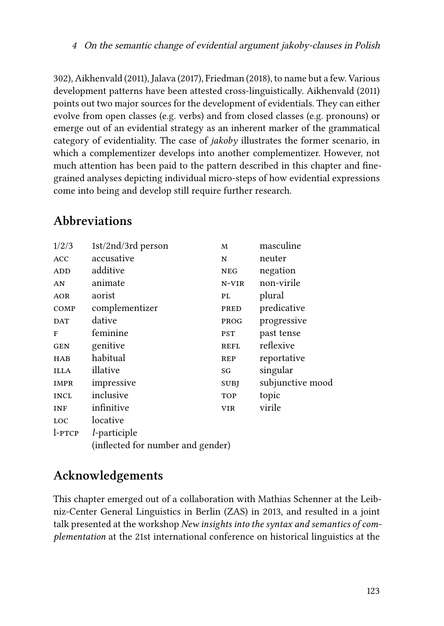302), [Aikhenvald \(2011\),](#page-40-13) [Jalava \(2017\),](#page-41-12) [Friedman \(2018\)](#page-41-13), to name but a few. Various development patterns have been attested cross-linguistically. [Aikhenvald \(2011\)](#page-40-13) points out two major sources for the development of evidentials. They can either evolve from open classes (e.g. verbs) and from closed classes (e.g. pronouns) or emerge out of an evidential strategy as an inherent marker of the grammatical category of evidentiality. The case of *jakoby* illustrates the former scenario, in which a complementizer develops into another complementizer. However, not much attention has been paid to the pattern described in this chapter and finegrained analyses depicting individual micro-steps of how evidential expressions come into being and develop still require further research.

# **Abbreviations**

| 1/2/3       | 1st/2nd/3rd person                | M           | masculine        |  |
|-------------|-----------------------------------|-------------|------------------|--|
| <b>ACC</b>  | accusative                        | N           | neuter           |  |
| ADD         | additive                          | <b>NEG</b>  | negation         |  |
| AN          | animate                           | N-VIR       | non-virile       |  |
| <b>AOR</b>  | aorist                            | PL          | plural           |  |
| COMP        | complementizer                    | PRED        | predicative      |  |
| <b>DAT</b>  | dative                            | PROG        | progressive      |  |
| F           | feminine                          | <b>PST</b>  | past tense       |  |
| <b>GEN</b>  | genitive                          | <b>REFL</b> | reflexive        |  |
| <b>HAB</b>  | habitual                          | <b>REP</b>  | reportative      |  |
| <b>ILLA</b> | illative                          | SG          | singular         |  |
| <b>IMPR</b> | impressive                        | <b>SUBJ</b> | subjunctive mood |  |
| <b>INCL</b> | inclusive                         | <b>TOP</b>  | topic            |  |
| <b>INF</b>  | infinitive                        | <b>VIR</b>  | virile           |  |
| LOC         | locative                          |             |                  |  |
| l-PTCP      | <i>l</i> -participle              |             |                  |  |
|             | (inflected for number and gender) |             |                  |  |

# **Acknowledgements**

This chapter emerged out of a collaboration with Mathias Schenner at the Leibniz-Center General Linguistics in Berlin (ZAS) in 2013, and resulted in a joint talk presented at the workshop *New insights into the syntax and semantics of complementation* at the 21st international conference on historical linguistics at the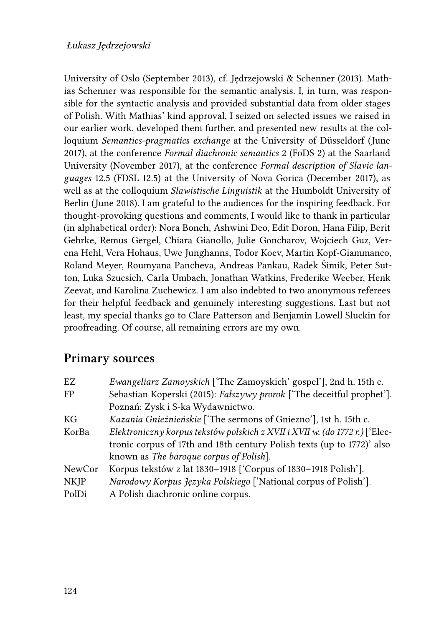#### Łukasz Jędrzejowski

University of Oslo (September 2013), cf. [Jędrzejowski & Schenner \(2013\).](#page-42-10) Mathias Schenner was responsible for the semantic analysis. I, in turn, was responsible for the syntactic analysis and provided substantial data from older stages of Polish. With Mathias' kind approval, I seized on selected issues we raised in our earlier work, developed them further, and presented new results at the colloquium *Semantics-pragmatics exchange* at the University of Düsseldorf (June 2017), at the conference *Formal diachronic semantics* 2 (FoDS 2) at the Saarland University (November 2017), at the conference *Formal description of Slavic languages* 12.5 (FDSL 12.5) at the University of Nova Gorica (December 2017), as well as at the colloquium *Slawistische Linguistik* at the Humboldt University of Berlin (June 2018). I am grateful to the audiences for the inspiring feedback. For thought-provoking questions and comments, I would like to thank in particular (in alphabetical order): Nora Boneh, Ashwini Deo, Edit Doron, Hana Filip, Berit Gehrke, Remus Gergel, Chiara Gianollo, Julie Goncharov, Wojciech Guz, Verena Hehl, Vera Hohaus, Uwe Junghanns, Todor Koev, Martin Kopf-Giammanco, Roland Meyer, Roumyana Pancheva, Andreas Pankau, Radek Šimík, Peter Sutton, Luka Szucsich, Carla Umbach, Jonathan Watkins, Frederike Weeber, Henk Zeevat, and Karolina Zuchewicz. I am also indebted to two anonymous referees for their helpful feedback and genuinely interesting suggestions. Last but not least, my special thanks go to Clare Patterson and Benjamin Lowell Sluckin for proofreading. Of course, all remaining errors are my own.

# **Primary sources**

| EZ          | Ewangeliarz Zamoyskich ['The Zamoyskich' gospel'], 2nd h. 15th c.           |
|-------------|-----------------------------------------------------------------------------|
| FP          | Sebastian Koperski (2015): Fałszywy prorok ['The deceitful prophet'].       |
|             | Poznań: Zysk i S-ka Wydawnictwo.                                            |
| KG          | Kazania Gnieźnieńskie ['The sermons of Gniezno'], 1st h. 15th c.            |
| KorBa       | Elektroniczny korpus tekstów polskich z XVII i XVII w. (do 1772 r.) ['Elec- |
|             | tronic corpus of 17th and 18th century Polish texts (up to 1772)' also      |
|             | known as The baroque corpus of Polish.                                      |
| NewCor      | Korpus tekstów z lat 1830-1918 ['Corpus of 1830-1918 Polish'].              |
| <b>NKJP</b> | Narodowy Korpus Języka Polskiego ['National corpus of Polish'].             |
| PolDi       | A Polish diachronic online corpus.                                          |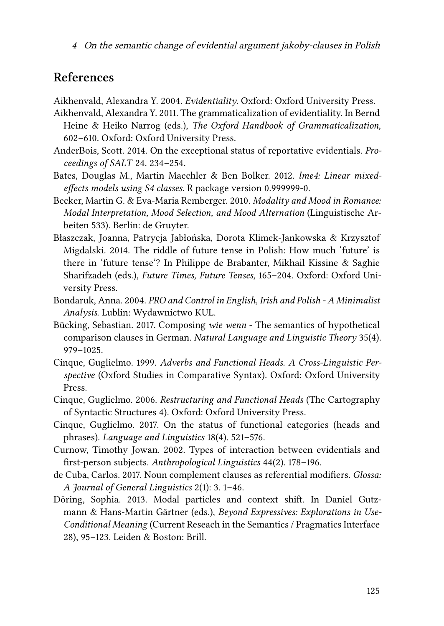<sup>4</sup> On the semantic change of evidential argument jakoby-clauses in Polish

# **References**

<span id="page-40-12"></span>Aikhenvald, Alexandra Y. 2004. *Evidentiality*. Oxford: Oxford University Press.

- <span id="page-40-13"></span>Aikhenvald, Alexandra Y. 2011. The grammaticalization of evidentiality. In Bernd Heine & Heiko Narrog (eds.), *The Oxford Handbook of Grammaticalization*, 602–610. Oxford: Oxford University Press.
- <span id="page-40-8"></span>AnderBois, Scott. 2014. On the exceptional status of reportative evidentials. *Proceedings of SALT* 24. 234–254.
- <span id="page-40-9"></span>Bates, Douglas M., Martin Maechler & Ben Bolker. 2012. *lme4: Linear mixedeffects models using S4 classes*. R package version 0.999999-0.
- <span id="page-40-11"></span>Becker, Martin G. & Eva-Maria Remberger. 2010. *Modality and Mood in Romance: Modal Interpretation, Mood Selection, and Mood Alternation* (Linguistische Arbeiten 533). Berlin: de Gruyter.
- <span id="page-40-2"></span>Błaszczak, Joanna, Patrycja Jabłońska, Dorota Klimek-Jankowska & Krzysztof Migdalski. 2014. The riddle of future tense in Polish: How much 'future' is there in 'future tense'? In Philippe de Brabanter, Mikhail Kissine & Saghie Sharifzadeh (eds.), *Future Times, Future Tenses*, 165–204. Oxford: Oxford University Press.
- <span id="page-40-0"></span>Bondaruk, Anna. 2004. *PRO and Control in English, Irish and Polish - A Minimalist Analysis*. Lublin: Wydawnictwo KUL.
- <span id="page-40-10"></span>Bücking, Sebastian. 2017. Composing *wie wenn* - The semantics of hypothetical comparison clauses in German. *Natural Language and Linguistic Theory* 35(4). 979–1025.
- <span id="page-40-3"></span>Cinque, Guglielmo. 1999. *Adverbs and Functional Heads. A Cross-Linguistic Perspective* (Oxford Studies in Comparative Syntax). Oxford: Oxford University Press.
- <span id="page-40-4"></span>Cinque, Guglielmo. 2006. *Restructuring and Functional Heads* (The Cartography of Syntactic Structures 4). Oxford: Oxford University Press.
- <span id="page-40-5"></span>Cinque, Guglielmo. 2017. On the status of functional categories (heads and phrases). *Language and Linguistics* 18(4). 521–576.
- <span id="page-40-7"></span>Curnow, Timothy Jowan. 2002. Types of interaction between evidentials and first-person subjects. *Anthropological Linguistics* 44(2). 178–196.
- <span id="page-40-1"></span>de Cuba, Carlos. 2017. Noun complement clauses as referential modifiers. *Glossa: A Journal of General Linguistics* 2(1): 3. 1–46.
- <span id="page-40-6"></span>Döring, Sophia. 2013. Modal particles and context shift. In Daniel Gutzmann & Hans-Martin Gärtner (eds.), *Beyond Expressives: Explorations in Use-Conditional Meaning* (Current Reseach in the Semantics / Pragmatics Interface 28), 95–123. Leiden & Boston: Brill.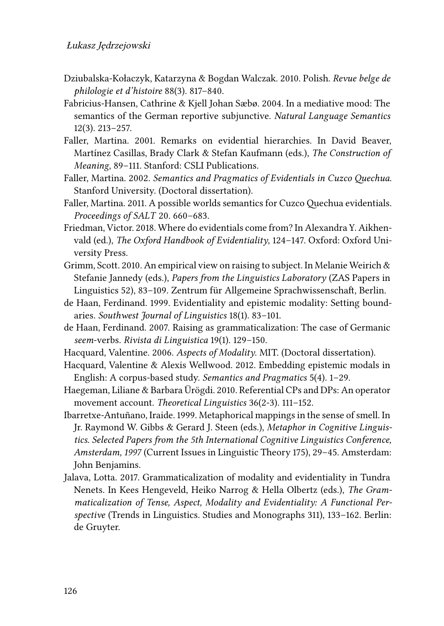- <span id="page-41-6"></span>Dziubalska-Kołaczyk, Katarzyna & Bogdan Walczak. 2010. Polish. *Revue belge de philologie et d'histoire* 88(3). 817–840.
- <span id="page-41-7"></span>Fabricius-Hansen, Cathrine & Kjell Johan Sæbø. 2004. In a mediative mood: The semantics of the German reportive subjunctive. *Natural Language Semantics* 12(3). 213–257.
- <span id="page-41-10"></span>Faller, Martina. 2001. Remarks on evidential hierarchies. In David Beaver, Martínez Casillas, Brady Clark & Stefan Kaufmann (eds.), *The Construction of Meaning*, 89–111. Stanford: CSLI Publications.
- <span id="page-41-0"></span>Faller, Martina. 2002. *Semantics and Pragmatics of Evidentials in Cuzco Quechua*. Stanford University. (Doctoral dissertation).
- <span id="page-41-1"></span>Faller, Martina. 2011. A possible worlds semantics for Cuzco Quechua evidentials. *Proceedings of SALT* 20. 660–683.
- <span id="page-41-13"></span>Friedman, Victor. 2018. Where do evidentials come from? In Alexandra Y. Aikhenvald (ed.), *The Oxford Handbook of Evidentiality*, 124–147. Oxford: Oxford University Press.
- <span id="page-41-9"></span>Grimm, Scott. 2010. An empirical view on raising to subject. In Melanie Weirich & Stefanie Jannedy (eds.), *Papers from the Linguistics Laboratory* (ZAS Papers in Linguistics 52), 83–109. Zentrum für Allgemeine Sprachwissenschaft, Berlin.
- <span id="page-41-11"></span>de Haan, Ferdinand. 1999. Evidentiality and epistemic modality: Setting boundaries. *Southwest Journal of Linguistics* 18(1). 83–101.
- <span id="page-41-8"></span>de Haan, Ferdinand. 2007. Raising as grammaticalization: The case of Germanic *seem*-verbs. *Rivista di Linguistica* 19(1). 129–150.
- <span id="page-41-4"></span>Hacquard, Valentine. 2006. *Aspects of Modality*. MIT. (Doctoral dissertation).
- <span id="page-41-5"></span>Hacquard, Valentine & Alexis Wellwood. 2012. Embedding epistemic modals in English: A corpus-based study. *Semantics and Pragmatics* 5(4). 1–29.
- <span id="page-41-3"></span>Haegeman, Liliane & Barbara Ürögdi. 2010. Referential CPs and DPs: An operator movement account. *Theoretical Linguistics* 36(2-3). 111–152.
- <span id="page-41-2"></span>Ibarretxe-Antuñano, Iraide. 1999. Metaphorical mappings in the sense of smell. In Jr. Raymond W. Gibbs & Gerard J. Steen (eds.), *Metaphor in Cognitive Linguistics. Selected Papers from the 5th International Cognitive Linguistics Conference, Amsterdam, 1997* (Current Issues in Linguistic Theory 175), 29–45. Amsterdam: John Benjamins.
- <span id="page-41-12"></span>Jalava, Lotta. 2017. Grammaticalization of modality and evidentiality in Tundra Nenets. In Kees Hengeveld, Heiko Narrog & Hella Olbertz (eds.), *The Grammaticalization of Tense, Aspect, Modality and Evidentiality: A Functional Perspective* (Trends in Linguistics. Studies and Monographs 311), 133–162. Berlin: de Gruyter.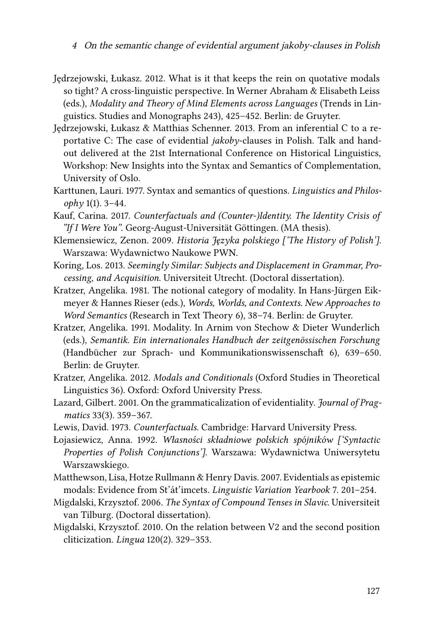<sup>4</sup> On the semantic change of evidential argument jakoby-clauses in Polish

- <span id="page-42-0"></span>Jędrzejowski, Łukasz. 2012. What is it that keeps the rein on quotative modals so tight? A cross-linguistic perspective. In Werner Abraham & Elisabeth Leiss (eds.), *Modality and Theory of Mind Elements across Languages* (Trends in Linguistics. Studies and Monographs 243), 425–452. Berlin: de Gruyter.
- <span id="page-42-10"></span>Jędrzejowski, Łukasz & Matthias Schenner. 2013. From an inferential C to a reportative C: The case of evidential *jakoby*-clauses in Polish. Talk and handout delivered at the 21st International Conference on Historical Linguistics, Workshop: New Insights into the Syntax and Semantics of Complementation, University of Oslo.
- <span id="page-42-7"></span>Karttunen, Lauri. 1977. Syntax and semantics of questions. *Linguistics and Philosophy* 1(1). 3–44.
- <span id="page-42-9"></span>Kauf, Carina. 2017. *Counterfactuals and (Counter-)Identity. The Identity Crisis of "If I Were You"*. Georg-August-Universität Göttingen. (MA thesis).
- <span id="page-42-11"></span>Klemensiewicz, Zenon. 2009. *Historia Języka polskiego ['The History of Polish']*. Warszawa: Wydawnictwo Naukowe PWN.
- <span id="page-42-13"></span>Koring, Los. 2013. *Seemingly Similar: Subjects and Displacement in Grammar, Processing, and Acquisition*. Universiteit Utrecht. (Doctoral dissertation).
- <span id="page-42-1"></span>Kratzer, Angelika. 1981. The notional category of modality. In Hans-Jürgen Eikmeyer & Hannes Rieser (eds.), *Words, Worlds, and Contexts. New Approaches to Word Semantics* (Research in Text Theory 6), 38–74. Berlin: de Gruyter.
- <span id="page-42-2"></span>Kratzer, Angelika. 1991. Modality. In Arnim von Stechow & Dieter Wunderlich (eds.), *Semantik. Ein internationales Handbuch der zeitgenössischen Forschung* (Handbücher zur Sprach- und Kommunikationswissenschaft 6), 639–650. Berlin: de Gruyter.
- <span id="page-42-3"></span>Kratzer, Angelika. 2012. *Modals and Conditionals* (Oxford Studies in Theoretical Linguistics 36). Oxford: Oxford University Press.
- <span id="page-42-14"></span>Lazard, Gilbert. 2001. On the grammaticalization of evidentiality. *Journal of Pragmatics* 33(3). 359–367.
- <span id="page-42-12"></span>Lewis, David. 1973. *Counterfactuals*. Cambridge: Harvard University Press.
- <span id="page-42-8"></span>Łojasiewicz, Anna. 1992. *Własności składniowe polskich spójników ['Syntactic Properties of Polish Conjunctions']*. Warszawa: Wydawnictwa Uniwersytetu Warszawskiego.
- <span id="page-42-4"></span>Matthewson, Lisa, Hotze Rullmann & Henry Davis. 2007. Evidentials as epistemic modals: Evidence from St'át'imcets. *Linguistic Variation Yearbook* 7. 201–254.
- <span id="page-42-5"></span>Migdalski, Krzysztof. 2006. *The Syntax of Compound Tenses in Slavic*. Universiteit van Tilburg. (Doctoral dissertation).
- <span id="page-42-6"></span>Migdalski, Krzysztof. 2010. On the relation between V2 and the second position cliticization. *Lingua* 120(2). 329–353.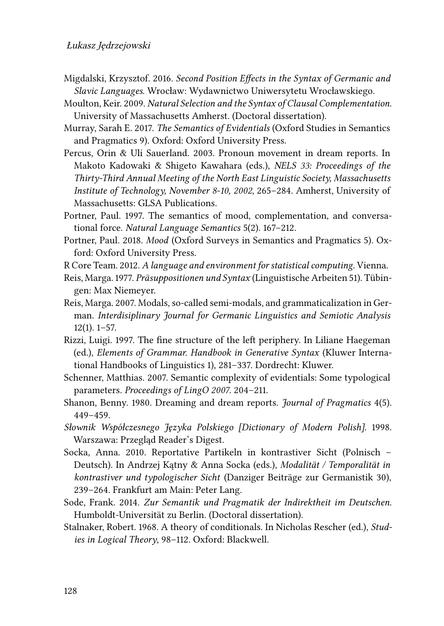- <span id="page-43-2"></span>Migdalski, Krzysztof. 2016. *Second Position Effects in the Syntax of Germanic and Slavic Languages*. Wrocław: Wydawnictwo Uniwersytetu Wrocławskiego.
- <span id="page-43-4"></span>Moulton, Keir. 2009. *Natural Selection and the Syntax of Clausal Complementation*. University of Massachusetts Amherst. (Doctoral dissertation).
- <span id="page-43-9"></span>Murray, Sarah E. 2017. *The Semantics of Evidentials* (Oxford Studies in Semantics and Pragmatics 9). Oxford: Oxford University Press.
- <span id="page-43-6"></span>Percus, Orin & Uli Sauerland. 2003. Pronoun movement in dream reports. In Makoto Kadowaki & Shigeto Kawahara (eds.), *NELS 33: Proceedings of the Thirty-Third Annual Meeting of the North East Linguistic Society, Massachusetts Institute of Technology, November 8-10, 2002*, 265–284. Amherst, University of Massachusetts: GLSA Publications.
- <span id="page-43-12"></span>Portner, Paul. 1997. The semantics of mood, complementation, and conversational force. *Natural Language Semantics* 5(2). 167–212.
- <span id="page-43-13"></span>Portner, Paul. 2018. *Mood* (Oxford Surveys in Semantics and Pragmatics 5). Oxford: Oxford University Press.
- <span id="page-43-10"></span>R Core Team. 2012. *A language and environment for statistical computing*. Vienna.
- <span id="page-43-3"></span>Reis, Marga. 1977. *Präsuppositionen und Syntax* (Linguistische Arbeiten 51). Tübingen: Max Niemeyer.
- <span id="page-43-15"></span>Reis, Marga. 2007. Modals, so-called semi-modals, and grammaticalization in German. *Interdisiplinary Journal for Germanic Linguistics and Semiotic Analysis*  $12(1)$ .  $1-57$ .
- <span id="page-43-1"></span>Rizzi, Luigi. 1997. The fine structure of the left periphery. In Liliane Haegeman (ed.), *Elements of Grammar. Handbook in Generative Syntax* (Kluwer International Handbooks of Linguistics 1), 281–337. Dordrecht: Kluwer.
- <span id="page-43-8"></span>Schenner, Matthias. 2007. Semantic complexity of evidentials: Some typological parameters. *Proceedings of LingO 2007*. 204–211.
- <span id="page-43-5"></span>Shanon, Benny. 1980. Dreaming and dream reports. *Journal of Pragmatics* 4(5). 449–459.
- <span id="page-43-7"></span>*Słownik Współczesnego Języka Polskiego [Dictionary of Modern Polish]*. 1998. Warszawa: Przegląd Reader's Digest.
- <span id="page-43-0"></span>Socka, Anna. 2010. Reportative Partikeln in kontrastiver Sicht (Polnisch – Deutsch). In Andrzej Kątny & Anna Socka (eds.), *Modalität / Temporalität in kontrastiver und typologischer Sicht* (Danziger Beiträge zur Germanistik 30), 239–264. Frankfurt am Main: Peter Lang.
- <span id="page-43-14"></span>Sode, Frank. 2014. *Zur Semantik und Pragmatik der Indirektheit im Deutschen*. Humboldt-Universität zu Berlin. (Doctoral dissertation).
- <span id="page-43-11"></span>Stalnaker, Robert. 1968. A theory of conditionals. In Nicholas Rescher (ed.), *Studies in Logical Theory*, 98–112. Oxford: Blackwell.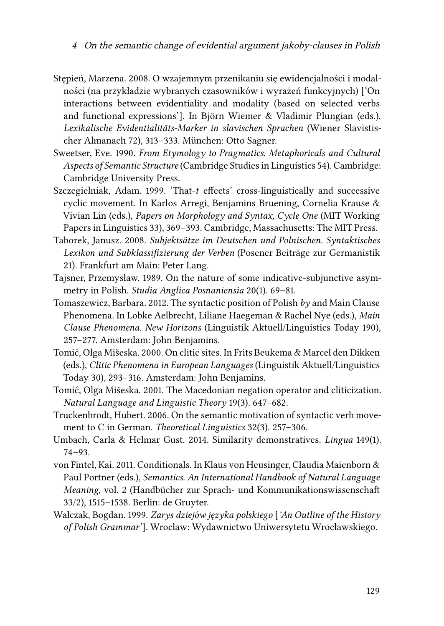- <span id="page-44-0"></span>Stępień, Marzena. 2008. O wzajemnym przenikaniu się ewidencjalności i modalności (na przykładzie wybranych czasowników i wyrażeń funkcyjnych) ['On interactions between evidentiality and modality (based on selected verbs and functional expressions']. In Björn Wiemer & Vladimir Plungian (eds.), *Lexikalische Evidentialitäts-Marker in slavischen Sprachen* (Wiener Slavistischer Almanach 72), 313–333. München: Otto Sagner.
- <span id="page-44-4"></span>Sweetser, Eve. 1990. *From Etymology to Pragmatics. Metaphoricals and Cultural Aspects of Semantic Structure* (Cambridge Studies in Linguistics 54). Cambridge: Cambridge University Press.
- <span id="page-44-2"></span>Szczegielniak, Adam. 1999. 'That-*t* effects' cross-linguistically and successive cyclic movement. In Karlos Arregi, Benjamins Bruening, Cornelia Krause & Vivian Lin (eds.), *Papers on Morphology and Syntax, Cycle One* (MIT Working Papers in Linguistics 33), 369–393. Cambridge, Massachusetts: The MIT Press.
- <span id="page-44-5"></span>Taborek, Janusz. 2008. *Subjektsätze im Deutschen und Polnischen. Syntaktisches Lexikon und Subklassifizierung der Verben* (Posener Beiträge zur Germanistik 21). Frankfurt am Main: Peter Lang.
- <span id="page-44-1"></span>Tajsner, Przemysław. 1989. On the nature of some indicative-subjunctive asymmetry in Polish. *Studia Anglica Posnaniensia* 20(1). 69–81.
- <span id="page-44-3"></span>Tomaszewicz, Barbara. 2012. The syntactic position of Polish *by* and Main Clause Phenomena. In Lobke Aelbrecht, Liliane Haegeman & Rachel Nye (eds.), *Main Clause Phenomena. New Horizons* (Linguistik Aktuell/Linguistics Today 190), 257–277. Amsterdam: John Benjamins.
- <span id="page-44-8"></span>Tomić, Olga Mišeska. 2000. On clitic sites. In Frits Beukema & Marcel den Dikken (eds.), *Clitic Phenomena in European Languages* (Linguistik Aktuell/Linguistics Today 30), 293–316. Amsterdam: John Benjamins.
- <span id="page-44-7"></span>Tomić, Olga Mišeska. 2001. The Macedonian negation operator and cliticization. *Natural Language and Linguistic Theory* 19(3). 647–682.
- <span id="page-44-11"></span>Truckenbrodt, Hubert. 2006. On the semantic motivation of syntactic verb movement to C in German. *Theoretical Linguistics* 32(3). 257–306.
- <span id="page-44-9"></span>Umbach, Carla & Helmar Gust. 2014. Similarity demonstratives. *Lingua* 149(1). 74–93.
- <span id="page-44-10"></span>von Fintel, Kai. 2011. Conditionals. In Klaus von Heusinger, Claudia Maienborn & Paul Portner (eds.), *Semantics. An International Handbook of Natural Language Meaning*, vol. 2 (Handbücher zur Sprach- und Kommunikationswissenschaft 33/2), 1515–1538. Berlin: de Gruyter.
- <span id="page-44-6"></span>Walczak, Bogdan. 1999. *Zarys dziejów języka polskiego* [*'An Outline of the History of Polish Grammar'*]. Wrocław: Wydawnictwo Uniwersytetu Wrocławskiego.